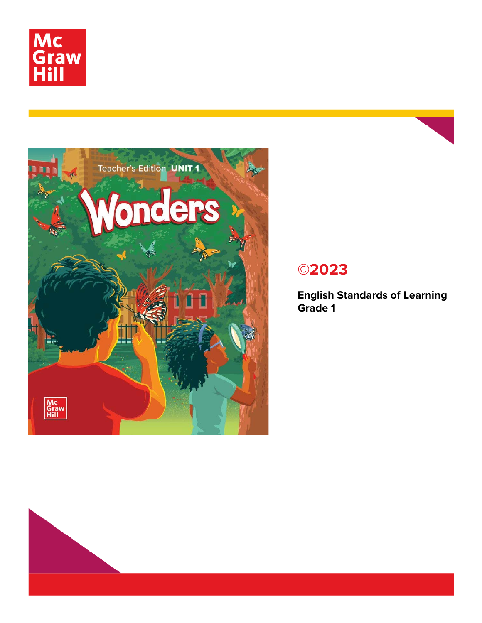



## **©2023**

**English Standards of Learning Grade 1**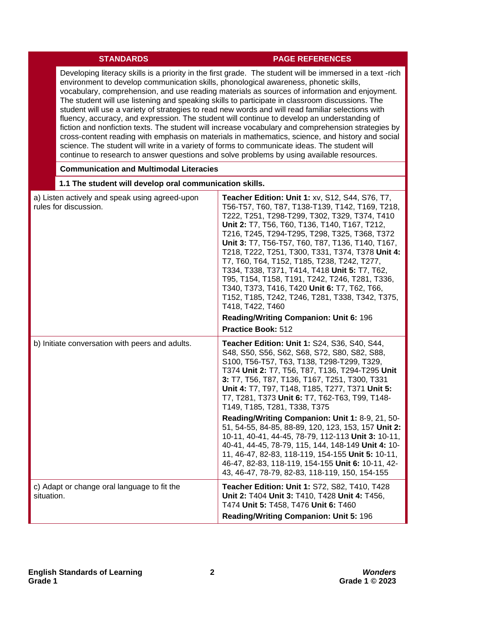## **STANDARDS PAGE REFERENCES**

40-41, 44-45, 78-79, 115, 144, 148-149 **Unit 4:** 10- 11, 46-47, 82-83, 118-119, 154-155 **Unit 5:** 10-11, 46-47, 82-83, 118-119, 154-155 **Unit 6:** 10-11, 42- 43, 46-47, 78-79, 82-83, 118-119, 150, 154-155

**Teacher Edition: Unit 1:** S72, S82, T410, T428 **Unit 2:** T404 **Unit 3:** T410, T428 **Unit 4:** T456,

T474 **Unit 5:** T458, T476 **Unit 6:** T460 **Reading/Writing Companion: Unit 5:** 196

Developing literacy skills is a priority in the first grade. The student will be immersed in a text -rich environment to develop communication skills, phonological awareness, phonetic skills, vocabulary, comprehension, and use reading materials as sources of information and enjoyment. The student will use listening and speaking skills to participate in classroom discussions. The student will use a variety of strategies to read new words and will read familiar selections with fluency, accuracy, and expression. The student will continue to develop an understanding of fiction and nonfiction texts. The student will increase vocabulary and comprehension strategies by cross-content reading with emphasis on materials in mathematics, science, and history and social science. The student will write in a variety of forms to communicate ideas. The student will continue to research to answer questions and solve problems by using available resources.

## **Communication and Multimodal Literacies 1.1 The student will develop oral communication skills.**  a) Listen actively and speak using agreed-upon rules for discussion. **Teacher Edition: Unit 1:** xv, S12, S44, S76, T7, T56-T57, T60, T87, T138-T139, T142, T169, T218, T222, T251, T298-T299, T302, T329, T374, T410 **Unit 2:** T7, T56, T60, T136, T140, T167, T212, T216, T245, T294-T295, T298, T325, T368, T372 **Unit 3:** T7, T56-T57, T60, T87, T136, T140, T167, T218, T222, T251, T300, T331, T374, T378 **Unit 4:** T7, T60, T64, T152, T185, T238, T242, T277, T334, T338, T371, T414, T418 **Unit 5:** T7, T62, T95, T154, T158, T191, T242, T246, T281, T336, T340, T373, T416, T420 **Unit 6:** T7, T62, T66, T152, T185, T242, T246, T281, T338, T342, T375, T418, T422, T460 **Reading/Writing Companion: Unit 6:** 196 **Practice Book:** 512 b) Initiate conversation with peers and adults. **Teacher Edition: Unit 1:** S24, S36, S40, S44, S48, S50, S56, S62, S68, S72, S80, S82, S88, S100, T56-T57, T63, T138, T298-T299, T329, T374 **Unit 2:** T7, T56, T87, T136, T294-T295 **Unit 3:** T7, T56, T87, T136, T167, T251, T300, T331 **Unit 4:** T7, T97, T148, T185, T277, T371 **Unit 5:** T7, T281, T373 **Unit 6:** T7, T62-T63, T99, T148- T149, T185, T281, T338, T375 **Reading/Writing Companion: Unit 1:** 8-9, 21, 50- 51, 54-55, 84-85, 88-89, 120, 123, 153, 157 **Unit 2:** 10-11, 40-41, 44-45, 78-79, 112-113 **Unit 3:** 10-11,

situation.

c) Adapt or change oral language to fit the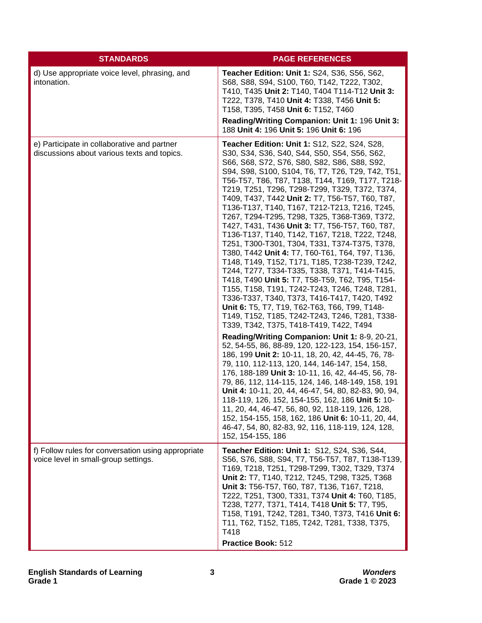| <b>STANDARDS</b>                                                                           | <b>PAGE REFERENCES</b>                                                                                                                                                                                                                                                                                                                                                                                                                                                                                                                                                                                                                                                                                                                                                                                                                                                                                                                                                                                                                                                                                                                                                                                                                                                                                                                                                                                                                                                                                                                                                                                                                                                                                 |
|--------------------------------------------------------------------------------------------|--------------------------------------------------------------------------------------------------------------------------------------------------------------------------------------------------------------------------------------------------------------------------------------------------------------------------------------------------------------------------------------------------------------------------------------------------------------------------------------------------------------------------------------------------------------------------------------------------------------------------------------------------------------------------------------------------------------------------------------------------------------------------------------------------------------------------------------------------------------------------------------------------------------------------------------------------------------------------------------------------------------------------------------------------------------------------------------------------------------------------------------------------------------------------------------------------------------------------------------------------------------------------------------------------------------------------------------------------------------------------------------------------------------------------------------------------------------------------------------------------------------------------------------------------------------------------------------------------------------------------------------------------------------------------------------------------------|
| d) Use appropriate voice level, phrasing, and<br>intonation.                               | Teacher Edition: Unit 1: S24, S36, S56, S62,<br>S68, S88, S94, S100, T60, T142, T222, T302,<br>T410, T435 Unit 2: T140, T404 T114-T12 Unit 3:<br>T222, T378, T410 Unit 4: T338, T456 Unit 5:<br>T158, T395, T458 Unit 6: T152, T460                                                                                                                                                                                                                                                                                                                                                                                                                                                                                                                                                                                                                                                                                                                                                                                                                                                                                                                                                                                                                                                                                                                                                                                                                                                                                                                                                                                                                                                                    |
|                                                                                            | Reading/Writing Companion: Unit 1: 196 Unit 3:<br>188 Unit 4: 196 Unit 5: 196 Unit 6: 196                                                                                                                                                                                                                                                                                                                                                                                                                                                                                                                                                                                                                                                                                                                                                                                                                                                                                                                                                                                                                                                                                                                                                                                                                                                                                                                                                                                                                                                                                                                                                                                                              |
| e) Participate in collaborative and partner<br>discussions about various texts and topics. | Teacher Edition: Unit 1: S12, S22, S24, S28,<br>S30, S34, S36, S40, S44, S50, S54, S56, S62,<br>S66, S68, S72, S76, S80, S82, S86, S88, S92,<br>S94, S98, S100, S104, T6, T7, T26, T29, T42, T51,<br>T56-T57, T86, T87, T138, T144, T169, T177, T218-<br>T219, T251, T296, T298-T299, T329, T372, T374,<br>T409, T437, T442 Unit 2: T7, T56-T57, T60, T87,<br>T136-T137, T140, T167, T212-T213, T216, T245,<br>T267, T294-T295, T298, T325, T368-T369, T372,<br>T427, T431, T436 Unit 3: T7, T56-T57, T60, T87,<br>T136-T137, T140, T142, T167, T218, T222, T248,<br>T251, T300-T301, T304, T331, T374-T375, T378,<br>T380, T442 Unit 4: T7, T60-T61, T64, T97, T136,<br>T148, T149, T152, T171, T185, T238-T239, T242,<br>T244, T277, T334-T335, T338, T371, T414-T415,<br>T418, T490 Unit 5: T7, T58-T59, T62, T95, T154-<br>T155, T158, T191, T242-T243, T246, T248, T281,<br>T336-T337, T340, T373, T416-T417, T420, T492<br>Unit 6: T5, T7, T19, T62-T63, T66, T99, T148-<br>T149, T152, T185, T242-T243, T246, T281, T338-<br>T339, T342, T375, T418-T419, T422, T494<br>Reading/Writing Companion: Unit 1: 8-9, 20-21,<br>52, 54-55, 86, 88-89, 120, 122-123, 154, 156-157,<br>186, 199 Unit 2: 10-11, 18, 20, 42, 44-45, 76, 78-<br>79, 110, 112-113, 120, 144, 146-147, 154, 158,<br>176, 188-189 Unit 3: 10-11, 16, 42, 44-45, 56, 78-<br>79, 86, 112, 114-115, 124, 146, 148-149, 158, 191<br>Unit 4: 10-11, 20, 44, 46-47, 54, 80, 82-83, 90, 94,<br>118-119, 126, 152, 154-155, 162, 186 Unit 5: 10-<br>11, 20, 44, 46-47, 56, 80, 92, 118-119, 126, 128,<br>152, 154-155, 158, 162, 186 Unit 6: 10-11, 20, 44,<br>46-47, 54, 80, 82-83, 92, 116, 118-119, 124, 128,<br>152, 154-155, 186 |
| f) Follow rules for conversation using appropriate<br>voice level in small-group settings. | Teacher Edition: Unit 1: S12, S24, S36, S44,<br>S56, S76, S88, S94, T7, T56-T57, T87, T138-T139,<br>T169, T218, T251, T298-T299, T302, T329, T374<br>Unit 2: T7, T140, T212, T245, T298, T325, T368<br>Unit 3: T56-T57, T60, T87, T136, T167, T218,<br>T222, T251, T300, T331, T374 Unit 4: T60, T185,<br>T238, T277, T371, T414, T418 Unit 5: T7, T95,<br>T158, T191, T242, T281, T340, T373, T416 Unit 6:<br>T11, T62, T152, T185, T242, T281, T338, T375,<br>T418<br>Practice Book: 512                                                                                                                                                                                                                                                                                                                                                                                                                                                                                                                                                                                                                                                                                                                                                                                                                                                                                                                                                                                                                                                                                                                                                                                                             |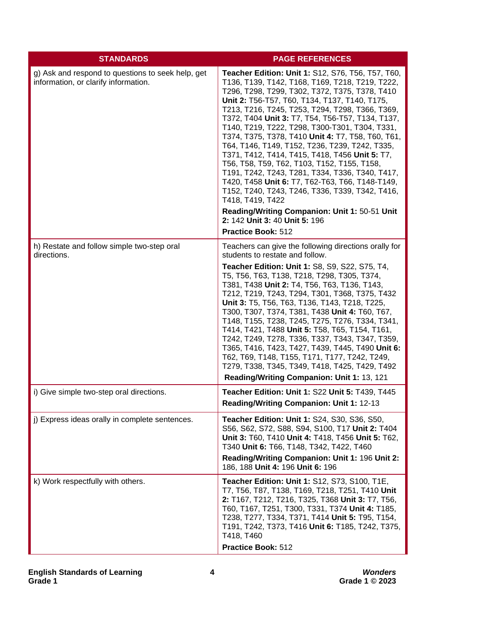| <b>STANDARDS</b>                                                                          | <b>PAGE REFERENCES</b>                                                                                                                                                                                                                                                                                                                                                                                                                                                                                                                                                                                                                                                                                                                                                                                                                                        |
|-------------------------------------------------------------------------------------------|---------------------------------------------------------------------------------------------------------------------------------------------------------------------------------------------------------------------------------------------------------------------------------------------------------------------------------------------------------------------------------------------------------------------------------------------------------------------------------------------------------------------------------------------------------------------------------------------------------------------------------------------------------------------------------------------------------------------------------------------------------------------------------------------------------------------------------------------------------------|
| g) Ask and respond to questions to seek help, get<br>information, or clarify information. | Teacher Edition: Unit 1: S12, S76, T56, T57, T60,<br>T136, T139, T142, T168, T169, T218, T219, T222,<br>T296, T298, T299, T302, T372, T375, T378, T410<br>Unit 2: T56-T57, T60, T134, T137, T140, T175,<br>T213, T216, T245, T253, T294, T298, T366, T369,<br>T372, T404 Unit 3: T7, T54, T56-T57, T134, T137,<br>T140, T219, T222, T298, T300-T301, T304, T331,<br>T374, T375, T378, T410 Unit 4: T7, T58, T60, T61,<br>T64, T146, T149, T152, T236, T239, T242, T335,<br>T371, T412, T414, T415, T418, T456 Unit 5: T7,<br>T56, T58, T59, T62, T103, T152, T155, T158,<br>T191, T242, T243, T281, T334, T336, T340, T417,<br>T420, T458 Unit 6: T7, T62-T63, T66, T148-T149,<br>T152, T240, T243, T246, T336, T339, T342, T416,<br>T418, T419, T422<br>Reading/Writing Companion: Unit 1: 50-51 Unit<br>2: 142 Unit 3: 40 Unit 5: 196<br>Practice Book: 512 |
| h) Restate and follow simple two-step oral<br>directions.                                 | Teachers can give the following directions orally for<br>students to restate and follow.<br>Teacher Edition: Unit 1: S8, S9, S22, S75, T4,<br>T5, T56, T63, T138, T218, T298, T305, T374,<br>T381, T438 Unit 2: T4, T56, T63, T136, T143,<br>T212, T219, T243, T294, T301, T368, T375, T432<br>Unit 3: T5, T56, T63, T136, T143, T218, T225,<br>T300, T307, T374, T381, T438 Unit 4: T60, T67,<br>T148, T155, T238, T245, T275, T276, T334, T341,<br>T414, T421, T488 Unit 5: T58, T65, T154, T161,<br>T242, T249, T278, T336, T337, T343, T347, T359,<br>T365, T416, T423, T427, T439, T445, T490 Unit 6:<br>T62, T69, T148, T155, T171, T177, T242, T249,<br>T279, T338, T345, T349, T418, T425, T429, T492<br>Reading/Writing Companion: Unit 1: 13, 121                                                                                                   |
| i) Give simple two-step oral directions.                                                  | Teacher Edition: Unit 1: S22 Unit 5: T439, T445<br>Reading/Writing Companion: Unit 1: 12-13                                                                                                                                                                                                                                                                                                                                                                                                                                                                                                                                                                                                                                                                                                                                                                   |
| j) Express ideas orally in complete sentences.                                            | Teacher Edition: Unit 1: S24, S30, S36, S50,<br>S56, S62, S72, S88, S94, S100, T17 Unit 2: T404<br>Unit 3: T60, T410 Unit 4: T418, T456 Unit 5: T62,<br>T340 Unit 6: T66, T148, T342, T422, T460<br>Reading/Writing Companion: Unit 1: 196 Unit 2:<br>186, 188 Unit 4: 196 Unit 6: 196                                                                                                                                                                                                                                                                                                                                                                                                                                                                                                                                                                        |
| k) Work respectfully with others.                                                         | Teacher Edition: Unit 1: S12, S73, S100, T1E,<br>T7, T56, T87, T138, T169, T218, T251, T410 Unit<br>2: T167, T212, T216, T325, T368 Unit 3: T7, T56,<br>T60, T167, T251, T300, T331, T374 Unit 4: T185,<br>T238, T277, T334, T371, T414 Unit 5: T95, T154,<br>T191, T242, T373, T416 Unit 6: T185, T242, T375,<br>T418, T460<br>Practice Book: 512                                                                                                                                                                                                                                                                                                                                                                                                                                                                                                            |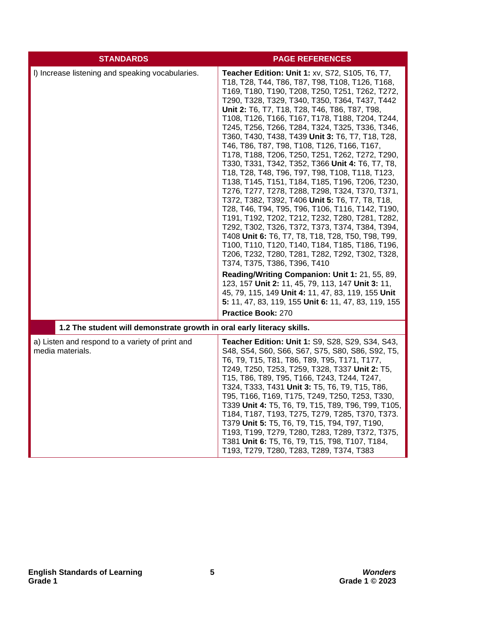| <b>STANDARDS</b>                                                       | <b>PAGE REFERENCES</b>                                                                                                                                                                                                                                                                                                                                                                                                                                                                                                                                                                                                                                                                                                                                                                                                                                                                                                                                                                                                                                                                                                                                                                                                                                                                                                                                                               |
|------------------------------------------------------------------------|--------------------------------------------------------------------------------------------------------------------------------------------------------------------------------------------------------------------------------------------------------------------------------------------------------------------------------------------------------------------------------------------------------------------------------------------------------------------------------------------------------------------------------------------------------------------------------------------------------------------------------------------------------------------------------------------------------------------------------------------------------------------------------------------------------------------------------------------------------------------------------------------------------------------------------------------------------------------------------------------------------------------------------------------------------------------------------------------------------------------------------------------------------------------------------------------------------------------------------------------------------------------------------------------------------------------------------------------------------------------------------------|
| I) Increase listening and speaking vocabularies.                       | Teacher Edition: Unit 1: xv, S72, S105, T6, T7,<br>T18, T28, T44, T86, T87, T98, T108, T126, T168,<br>T169, T180, T190, T208, T250, T251, T262, T272,<br>T290, T328, T329, T340, T350, T364, T437, T442<br>Unit 2: T6, T7, T18, T28, T46, T86, T87, T98,<br>T108, T126, T166, T167, T178, T188, T204, T244,<br>T245, T256, T266, T284, T324, T325, T336, T346,<br>T360, T430, T438, T439 Unit 3: T6, T7, T18, T28,<br>T46, T86, T87, T98, T108, T126, T166, T167,<br>T178, T188, T206, T250, T251, T262, T272, T290,<br>T330, T331, T342, T352, T366 Unit 4: T6, T7, T8,<br>T18, T28, T48, T96, T97, T98, T108, T118, T123,<br>T138, T145, T151, T184, T185, T196, T206, T230,<br>T276, T277, T278, T288, T298, T324, T370, T371,<br>T372, T382, T392, T406 Unit 5: T6, T7, T8, T18,<br>T28, T46, T94, T95, T96, T106, T116, T142, T190,<br>T191, T192, T202, T212, T232, T280, T281, T282,<br>T292, T302, T326, T372, T373, T374, T384, T394,<br>T408 Unit 6: T6, T7, T8, T18, T28, T50, T98, T99,<br>T100, T110, T120, T140, T184, T185, T186, T196,<br>T206, T232, T280, T281, T282, T292, T302, T328,<br>T374, T375, T386, T396, T410<br>Reading/Writing Companion: Unit 1: 21, 55, 89,<br>123, 157 Unit 2: 11, 45, 79, 113, 147 Unit 3: 11,<br>45, 79, 115, 149 Unit 4: 11, 47, 83, 119, 155 Unit<br>5: 11, 47, 83, 119, 155 Unit 6: 11, 47, 83, 119, 155<br>Practice Book: 270 |
| 1.2 The student will demonstrate growth in oral early literacy skills. |                                                                                                                                                                                                                                                                                                                                                                                                                                                                                                                                                                                                                                                                                                                                                                                                                                                                                                                                                                                                                                                                                                                                                                                                                                                                                                                                                                                      |
| a) Listen and respond to a variety of print and<br>media materials.    | <b>Teacher Edition: Unit 1: S9, S28, S29, S34, S43,</b><br>S48, S54, S60, S66, S67, S75, S80, S86, S92, T5,<br>T6, T9, T15, T81, T86, T89, T95, T171, T177,<br>T249, T250, T253, T259, T328, T337 Unit 2: T5,<br>T15, T86, T89, T95, T166, T243, T244, T247,<br>T324, T333, T431 Unit 3: T5, T6, T9, T15, T86,<br>T95, T166, T169, T175, T249, T250, T253, T330,<br>T339 Unit 4: T5, T6, T9, T15, T89, T96, T99, T105,<br>T184, T187, T193, T275, T279, T285, T370, T373.<br>T379 Unit 5: T5, T6, T9, T15, T94, T97, T190,<br>T193, T199, T279, T280, T283, T289, T372, T375,<br>T381 Unit 6: T5, T6, T9, T15, T98, T107, T184,<br>T193, T279, T280, T283, T289, T374, T383                                                                                                                                                                                                                                                                                                                                                                                                                                                                                                                                                                                                                                                                                                          |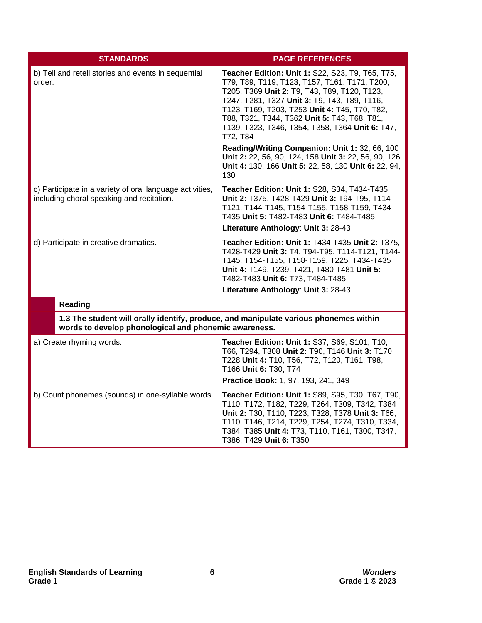| <b>STANDARDS</b>                                                                                      | <b>PAGE REFERENCES</b>                                                                                                                                                                                                                                                                                                                                            |
|-------------------------------------------------------------------------------------------------------|-------------------------------------------------------------------------------------------------------------------------------------------------------------------------------------------------------------------------------------------------------------------------------------------------------------------------------------------------------------------|
| b) Tell and retell stories and events in sequential<br>order.                                         | Teacher Edition: Unit 1: S22, S23, T9, T65, T75,<br>T79, T89, T119, T123, T157, T161, T171, T200,<br>T205, T369 Unit 2: T9, T43, T89, T120, T123,<br>T247, T281, T327 Unit 3: T9, T43, T89, T116,<br>T123, T169, T203, T253 Unit 4: T45, T70, T82,<br>T88, T321, T344, T362 Unit 5: T43, T68, T81,<br>T139, T323, T346, T354, T358, T364 Unit 6: T47,<br>T72, T84 |
|                                                                                                       | Reading/Writing Companion: Unit 1: 32, 66, 100<br>Unit 2: 22, 56, 90, 124, 158 Unit 3: 22, 56, 90, 126<br>Unit 4: 130, 166 Unit 5: 22, 58, 130 Unit 6: 22, 94,<br>130                                                                                                                                                                                             |
| c) Participate in a variety of oral language activities,<br>including choral speaking and recitation. | Teacher Edition: Unit 1: S28, S34, T434-T435<br>Unit 2: T375, T428-T429 Unit 3: T94-T95, T114-<br>T121, T144-T145, T154-T155, T158-T159, T434-<br>T435 Unit 5: T482-T483 Unit 6: T484-T485<br>Literature Anthology: Unit 3: 28-43                                                                                                                                 |
| d) Participate in creative dramatics.                                                                 | Teacher Edition: Unit 1: T434-T435 Unit 2: T375,<br>T428-T429 Unit 3: T4, T94-T95, T114-T121, T144-<br>T145, T154-T155, T158-T159, T225, T434-T435<br>Unit 4: T149, T239, T421, T480-T481 Unit 5:<br>T482-T483 Unit 6: T73, T484-T485<br>Literature Anthology: Unit 3: 28-43                                                                                      |
| <b>Reading</b>                                                                                        |                                                                                                                                                                                                                                                                                                                                                                   |
| words to develop phonological and phonemic awareness.                                                 | 1.3 The student will orally identify, produce, and manipulate various phonemes within                                                                                                                                                                                                                                                                             |
| a) Create rhyming words.                                                                              | Teacher Edition: Unit 1: S37, S69, S101, T10,<br>T66, T294, T308 Unit 2: T90, T146 Unit 3: T170<br>T228 Unit 4: T10, T56, T72, T120, T161, T98,<br>T166 Unit 6: T30, T74                                                                                                                                                                                          |
|                                                                                                       | Practice Book: 1, 97, 193, 241, 349                                                                                                                                                                                                                                                                                                                               |
| b) Count phonemes (sounds) in one-syllable words.                                                     | Teacher Edition: Unit 1: S89, S95, T30, T67, T90,<br>T110, T172, T182, T229, T264, T309, T342, T384<br>Unit 2: T30, T110, T223, T328, T378 Unit 3: T66,<br>T110, T146, T214, T229, T254, T274, T310, T334,<br>T384, T385 Unit 4: T73, T110, T161, T300, T347,<br>T386, T429 Unit 6: T350                                                                          |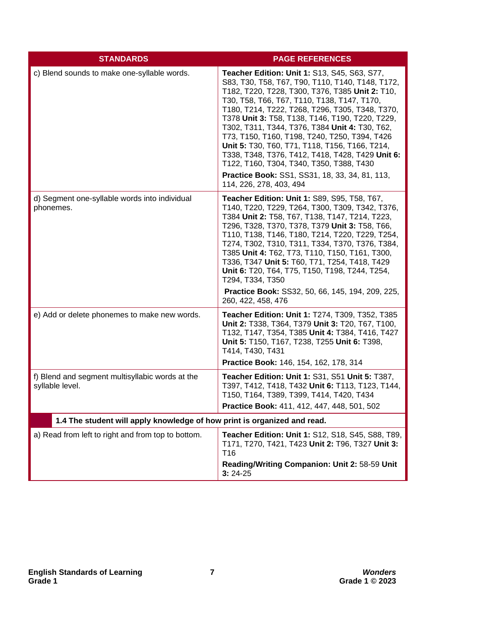| <b>STANDARDS</b>                                                         | <b>PAGE REFERENCES</b>                                                                                                                                                                                                                                                                                                                                                                                                                                                                                                                                                                                                                     |
|--------------------------------------------------------------------------|--------------------------------------------------------------------------------------------------------------------------------------------------------------------------------------------------------------------------------------------------------------------------------------------------------------------------------------------------------------------------------------------------------------------------------------------------------------------------------------------------------------------------------------------------------------------------------------------------------------------------------------------|
| c) Blend sounds to make one-syllable words.                              | Teacher Edition: Unit 1: S13, S45, S63, S77,<br>S83, T30, T58, T67, T90, T110, T140, T148, T172,<br>T182, T220, T228, T300, T376, T385 Unit 2: T10,<br>T30, T58, T66, T67, T110, T138, T147, T170,<br>T180, T214, T222, T268, T296, T305, T348, T370,<br>T378 Unit 3: T58, T138, T146, T190, T220, T229,<br>T302, T311, T344, T376, T384 Unit 4: T30, T62,<br>T73, T150, T160, T198, T240, T250, T394, T426<br>Unit 5: T30, T60, T71, T118, T156, T166, T214,<br>T338, T348, T376, T412, T418, T428, T429 Unit 6:<br>T122, T160, T304, T340, T350, T388, T430<br>Practice Book: SS1, SS31, 18, 33, 34, 81, 113,<br>114, 226, 278, 403, 494 |
| d) Segment one-syllable words into individual<br>phonemes.               | <b>Teacher Edition: Unit 1: S89, S95, T58, T67,</b><br>T140, T220, T229, T264, T300, T309, T342, T376,<br>T384 Unit 2: T58, T67, T138, T147, T214, T223,<br>T296, T328, T370, T378, T379 Unit 3: T58, T66,<br>T110, T138, T146, T180, T214, T220, T229, T254,<br>T274, T302, T310, T311, T334, T370, T376, T384,<br>T385 Unit 4: T62, T73, T110, T150, T161, T300,<br>T336, T347 Unit 5: T60, T71, T254, T418, T429<br>Unit 6: T20, T64, T75, T150, T198, T244, T254,<br>T294, T334, T350<br>Practice Book: SS32, 50, 66, 145, 194, 209, 225,<br>260, 422, 458, 476                                                                        |
| e) Add or delete phonemes to make new words.                             | Teacher Edition: Unit 1: T274, T309, T352, T385<br>Unit 2: T338, T364, T379 Unit 3: T20, T67, T100,<br>T132, T147, T354, T385 Unit 4: T384, T416, T427<br>Unit 5: T150, T167, T238, T255 Unit 6: T398,<br>T414, T430, T431<br>Practice Book: 146, 154, 162, 178, 314                                                                                                                                                                                                                                                                                                                                                                       |
| f) Blend and segment multisyllabic words at the<br>syllable level.       | <b>Teacher Edition: Unit 1: S31, S51 Unit 5: T387,</b><br>T397, T412, T418, T432 Unit 6: T113, T123, T144,<br>T150, T164, T389, T399, T414, T420, T434<br>Practice Book: 411, 412, 447, 448, 501, 502                                                                                                                                                                                                                                                                                                                                                                                                                                      |
| 1.4 The student will apply knowledge of how print is organized and read. |                                                                                                                                                                                                                                                                                                                                                                                                                                                                                                                                                                                                                                            |
| a) Read from left to right and from top to bottom.                       | Teacher Edition: Unit 1: S12, S18, S45, S88, T89,<br>T171, T270, T421, T423 Unit 2: T96, T327 Unit 3:<br>T16<br>Reading/Writing Companion: Unit 2: 58-59 Unit<br>$3:24-25$                                                                                                                                                                                                                                                                                                                                                                                                                                                                 |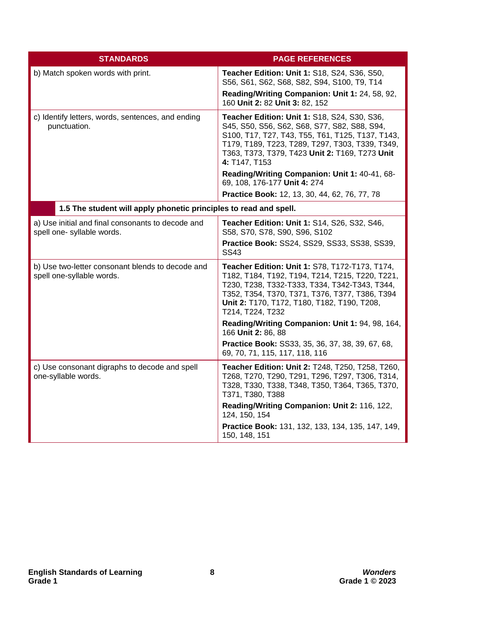| <b>STANDARDS</b>                                                                | <b>PAGE REFERENCES</b>                                                                                                                                                                                                                                                  |
|---------------------------------------------------------------------------------|-------------------------------------------------------------------------------------------------------------------------------------------------------------------------------------------------------------------------------------------------------------------------|
| b) Match spoken words with print.                                               | Teacher Edition: Unit 1: S18, S24, S36, S50,<br>S56, S61, S62, S68, S82, S94, S100, T9, T14                                                                                                                                                                             |
|                                                                                 | Reading/Writing Companion: Unit 1: 24, 58, 92,<br>160 Unit 2: 82 Unit 3: 82, 152                                                                                                                                                                                        |
| c) Identify letters, words, sentences, and ending<br>punctuation.               | Teacher Edition: Unit 1: S18, S24, S30, S36,<br>S45, S50, S56, S62, S68, S77, S82, S88, S94,<br>S100, T17, T27, T43, T55, T61, T125, T137, T143,<br>T179, T189, T223, T289, T297, T303, T339, T349,<br>T363, T373, T379, T423 Unit 2: T169, T273 Unit<br>4: T147, T153  |
|                                                                                 | Reading/Writing Companion: Unit 1: 40-41, 68-<br>69, 108, 176-177 Unit 4: 274                                                                                                                                                                                           |
|                                                                                 | Practice Book: 12, 13, 30, 44, 62, 76, 77, 78                                                                                                                                                                                                                           |
| 1.5 The student will apply phonetic principles to read and spell.               |                                                                                                                                                                                                                                                                         |
| a) Use initial and final consonants to decode and<br>spell one- syllable words. | Teacher Edition: Unit 1: S14, S26, S32, S46,<br>S58, S70, S78, S90, S96, S102                                                                                                                                                                                           |
|                                                                                 | Practice Book: SS24, SS29, SS33, SS38, SS39,<br><b>SS43</b>                                                                                                                                                                                                             |
| b) Use two-letter consonant blends to decode and<br>spell one-syllable words.   | Teacher Edition: Unit 1: S78, T172-T173, T174,<br>T182, T184, T192, T194, T214, T215, T220, T221,<br>T230, T238, T332-T333, T334, T342-T343, T344,<br>T352, T354, T370, T371, T376, T377, T386, T394<br>Unit 2: T170, T172, T180, T182, T190, T208,<br>T214, T224, T232 |
|                                                                                 | Reading/Writing Companion: Unit 1: 94, 98, 164,<br>166 Unit 2: 86, 88                                                                                                                                                                                                   |
|                                                                                 | Practice Book: SS33, 35, 36, 37, 38, 39, 67, 68,<br>69, 70, 71, 115, 117, 118, 116                                                                                                                                                                                      |
| c) Use consonant digraphs to decode and spell<br>one-syllable words.            | Teacher Edition: Unit 2: T248, T250, T258, T260,<br>T268, T270, T290, T291, T296, T297, T306, T314,<br>T328, T330, T338, T348, T350, T364, T365, T370,<br>T371, T380, T388                                                                                              |
|                                                                                 | Reading/Writing Companion: Unit 2: 116, 122,<br>124, 150, 154                                                                                                                                                                                                           |
|                                                                                 | Practice Book: 131, 132, 133, 134, 135, 147, 149,<br>150, 148, 151                                                                                                                                                                                                      |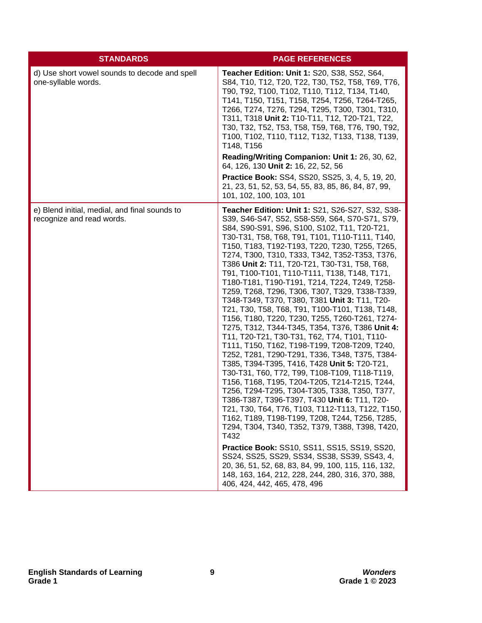| <b>STANDARDS</b>                                                           | <b>PAGE REFERENCES</b>                                                                                                                                                                                                                                                                                                                                                                                                                                                                                                                                                                                                                                                                                                                                                                                                                                                                                                                                                                                                                                                                                                                                                                                                                                                                                                                                                                                                                                                                                                                          |
|----------------------------------------------------------------------------|-------------------------------------------------------------------------------------------------------------------------------------------------------------------------------------------------------------------------------------------------------------------------------------------------------------------------------------------------------------------------------------------------------------------------------------------------------------------------------------------------------------------------------------------------------------------------------------------------------------------------------------------------------------------------------------------------------------------------------------------------------------------------------------------------------------------------------------------------------------------------------------------------------------------------------------------------------------------------------------------------------------------------------------------------------------------------------------------------------------------------------------------------------------------------------------------------------------------------------------------------------------------------------------------------------------------------------------------------------------------------------------------------------------------------------------------------------------------------------------------------------------------------------------------------|
| d) Use short vowel sounds to decode and spell<br>one-syllable words.       | Teacher Edition: Unit 1: S20, S38, S52, S64,<br>S84, T10, T12, T20, T22, T30, T52, T58, T69, T76,<br>T90, T92, T100, T102, T110, T112, T134, T140,<br>T141, T150, T151, T158, T254, T256, T264-T265,<br>T266, T274, T276, T294, T295, T300, T301, T310,<br>T311, T318 Unit 2: T10-T11, T12, T20-T21, T22,<br>T30, T32, T52, T53, T58, T59, T68, T76, T90, T92,<br>T100, T102, T110, T112, T132, T133, T138, T139,<br>T148, T156                                                                                                                                                                                                                                                                                                                                                                                                                                                                                                                                                                                                                                                                                                                                                                                                                                                                                                                                                                                                                                                                                                                 |
|                                                                            | Reading/Writing Companion: Unit 1: 26, 30, 62,<br>64, 126, 130 Unit 2: 16, 22, 52, 56                                                                                                                                                                                                                                                                                                                                                                                                                                                                                                                                                                                                                                                                                                                                                                                                                                                                                                                                                                                                                                                                                                                                                                                                                                                                                                                                                                                                                                                           |
|                                                                            | <b>Practice Book: SS4, SS20, SS25, 3, 4, 5, 19, 20,</b><br>21, 23, 51, 52, 53, 54, 55, 83, 85, 86, 84, 87, 99,<br>101, 102, 100, 103, 101                                                                                                                                                                                                                                                                                                                                                                                                                                                                                                                                                                                                                                                                                                                                                                                                                                                                                                                                                                                                                                                                                                                                                                                                                                                                                                                                                                                                       |
| e) Blend initial, medial, and final sounds to<br>recognize and read words. | Teacher Edition: Unit 1: S21, S26-S27, S32, S38-<br>S39, S46-S47, S52, S58-S59, S64, S70-S71, S79,<br>S84, S90-S91, S96, S100, S102, T11, T20-T21,<br>T30-T31, T58, T68, T91, T101, T110-T111, T140,<br>T150, T183, T192-T193, T220, T230, T255, T265,<br>T274, T300, T310, T333, T342, T352-T353, T376,<br>T386 Unit 2: T11, T20-T21, T30-T31, T58, T68,<br>T91, T100-T101, T110-T111, T138, T148, T171,<br>T180-T181, T190-T191, T214, T224, T249, T258-<br>T259, T268, T296, T306, T307, T329, T338-T339,<br>T348-T349, T370, T380, T381 Unit 3: T11, T20-<br>T21, T30, T58, T68, T91, T100-T101, T138, T148,<br>T156, T180, T220, T230, T255, T260-T261, T274-<br>T275, T312, T344-T345, T354, T376, T386 Unit 4:<br>T11, T20-T21, T30-T31, T62, T74, T101, T110-<br>T111, T150, T162, T198-T199, T208-T209, T240,<br>T252, T281, T290-T291, T336, T348, T375, T384-<br>T385, T394-T395, T416, T428 Unit 5: T20-T21,<br>T30-T31, T60, T72, T99, T108-T109, T118-T119,<br>T156, T168, T195, T204-T205, T214-T215, T244,<br>T256, T294-T295, T304-T305, T338, T350, T377,<br>T386-T387, T396-T397, T430 Unit 6: T11, T20-<br>T21, T30, T64, T76, T103, T112-T113, T122, T150,<br>T162, T189, T198-T199, T208, T244, T256, T285,<br>T294, T304, T340, T352, T379, T388, T398, T420,<br>T432<br><b>Practice Book: SS10, SS11, SS15, SS19, SS20,</b><br>SS24, SS25, SS29, SS34, SS38, SS39, SS43, 4,<br>20, 36, 51, 52, 68, 83, 84, 99, 100, 115, 116, 132,<br>148, 163, 164, 212, 228, 244, 280, 316, 370, 388,<br>406, 424, 442, 465, 478, 496 |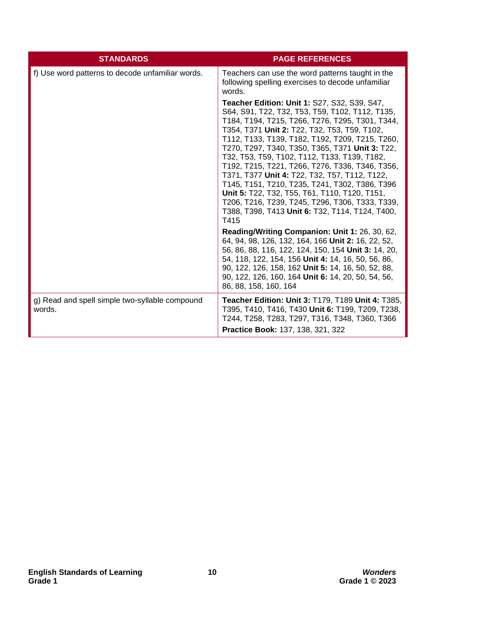| <b>STANDARDS</b>                                         | <b>PAGE REFERENCES</b>                                                                                                                                                                                                                                                                                                                                                                                                                                                                                                                                                                                                                                                               |
|----------------------------------------------------------|--------------------------------------------------------------------------------------------------------------------------------------------------------------------------------------------------------------------------------------------------------------------------------------------------------------------------------------------------------------------------------------------------------------------------------------------------------------------------------------------------------------------------------------------------------------------------------------------------------------------------------------------------------------------------------------|
| f) Use word patterns to decode unfamiliar words.         | Teachers can use the word patterns taught in the<br>following spelling exercises to decode unfamiliar<br>words.                                                                                                                                                                                                                                                                                                                                                                                                                                                                                                                                                                      |
|                                                          | <b>Teacher Edition: Unit 1: S27, S32, S39, S47,</b><br>S64, S91, T22, T32, T53, T59, T102, T112, T135,<br>T184, T194, T215, T266, T276, T295, T301, T344,<br>T354, T371 Unit 2: T22, T32, T53, T59, T102,<br>T112, T133, T139, T182, T192, T209, T215, T260,<br>T270, T297, T340, T350, T365, T371 Unit 3: T22,<br>T32, T53, T59, T102, T112, T133, T139, T182,<br>T192, T215, T221, T266, T276, T336, T346, T356,<br>T371, T377 Unit 4: T22, T32, T57, T112, T122,<br>T145, T151, T210, T235, T241, T302, T386, T396<br>Unit 5: T22, T32, T55, T61, T110, T120, T151,<br>T206, T216, T239, T245, T296, T306, T333, T339,<br>T388, T398, T413 Unit 6: T32, T114, T124, T400,<br>T415 |
|                                                          | Reading/Writing Companion: Unit 1: 26, 30, 62,<br>64, 94, 98, 126, 132, 164, 166 Unit 2: 16, 22, 52,<br>56, 86, 88, 116, 122, 124, 150, 154 Unit 3: 14, 20,<br>54, 118, 122, 154, 156 Unit 4: 14, 16, 50, 56, 86,<br>90, 122, 126, 158, 162 Unit 5: 14, 16, 50, 52, 88,<br>90, 122, 126, 160, 164 Unit 6: 14, 20, 50, 54, 56,<br>86, 88, 158, 160, 164                                                                                                                                                                                                                                                                                                                               |
| g) Read and spell simple two-syllable compound<br>words. | Teacher Edition: Unit 3: T179, T189 Unit 4: T385,<br>T395, T410, T416, T430 Unit 6: T199, T209, T238,<br>T244, T258, T283, T297, T316, T348, T360, T366<br>Practice Book: 137, 138, 321, 322                                                                                                                                                                                                                                                                                                                                                                                                                                                                                         |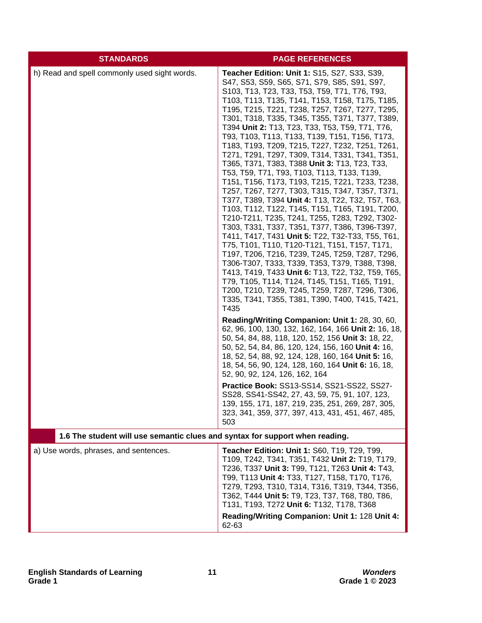| <b>STANDARDS</b>                                                             | <b>PAGE REFERENCES</b>                                                                                                                                                                                                                                                                                                                                                                                                                                                                                                                                                                                                                                                                                                                                                                                                                                                                                                                                                                                                                                                                                                                                                                                                                                                                                                                                                                                                                                                                                                                                                                                                                                                                                                                                                                                                                                                                                                                                         |
|------------------------------------------------------------------------------|----------------------------------------------------------------------------------------------------------------------------------------------------------------------------------------------------------------------------------------------------------------------------------------------------------------------------------------------------------------------------------------------------------------------------------------------------------------------------------------------------------------------------------------------------------------------------------------------------------------------------------------------------------------------------------------------------------------------------------------------------------------------------------------------------------------------------------------------------------------------------------------------------------------------------------------------------------------------------------------------------------------------------------------------------------------------------------------------------------------------------------------------------------------------------------------------------------------------------------------------------------------------------------------------------------------------------------------------------------------------------------------------------------------------------------------------------------------------------------------------------------------------------------------------------------------------------------------------------------------------------------------------------------------------------------------------------------------------------------------------------------------------------------------------------------------------------------------------------------------------------------------------------------------------------------------------------------------|
| h) Read and spell commonly used sight words.                                 | <b>Teacher Edition: Unit 1: S15, S27, S33, S39,</b><br>S47, S53, S59, S65, S71, S79, S85, S91, S97,<br>S103, T13, T23, T33, T53, T59, T71, T76, T93,<br>T103, T113, T135, T141, T153, T158, T175, T185,<br>T195, T215, T221, T238, T257, T267, T277, T295,<br>T301, T318, T335, T345, T355, T371, T377, T389,<br>T394 Unit 2: T13, T23, T33, T53, T59, T71, T76,<br>T93, T103, T113, T133, T139, T151, T156, T173,<br>T183, T193, T209, T215, T227, T232, T251, T261,<br>T271, T291, T297, T309, T314, T331, T341, T351,<br>T365, T371, T383, T388 Unit 3: T13, T23, T33,<br>T53, T59, T71, T93, T103, T113, T133, T139,<br>T151, T156, T173, T193, T215, T221, T233, T238,<br>T257, T267, T277, T303, T315, T347, T357, T371,<br>T377, T389, T394 Unit 4: T13, T22, T32, T57, T63,<br>T103, T112, T122, T145, T151, T165, T191, T200,<br>T210-T211, T235, T241, T255, T283, T292, T302-<br>T303, T331, T337, T351, T377, T386, T396-T397,<br>T411, T417, T431 Unit 5: T22, T32-T33, T55, T61,<br>T75, T101, T110, T120-T121, T151, T157, T171,<br>T197, T206, T216, T239, T245, T259, T287, T296,<br>T306-T307, T333, T339, T353, T379, T388, T398,<br>T413, T419, T433 Unit 6: T13, T22, T32, T59, T65,<br>T79, T105, T114, T124, T145, T151, T165, T191,<br>T200, T210, T239, T245, T259, T287, T296, T306,<br>T335, T341, T355, T381, T390, T400, T415, T421,<br>T435<br>Reading/Writing Companion: Unit 1: 28, 30, 60,<br>62, 96, 100, 130, 132, 162, 164, 166 Unit 2: 16, 18,<br>50, 54, 84, 88, 118, 120, 152, 156 Unit 3: 18, 22,<br>50, 52, 54, 84, 86, 120, 124, 156, 160 Unit 4: 16,<br>18, 52, 54, 88, 92, 124, 128, 160, 164 Unit 5: 16,<br>18, 54, 56, 90, 124, 128, 160, 164 Unit 6: 16, 18,<br>52, 90, 92, 124, 126, 162, 164<br>Practice Book: SS13-SS14, SS21-SS22, SS27-<br>SS28, SS41-SS42, 27, 43, 59, 75, 91, 107, 123,<br>139, 155, 171, 187, 219, 235, 251, 269, 287, 305,<br>323, 341, 359, 377, 397, 413, 431, 451, 467, 485,<br>503 |
| 1.6 The student will use semantic clues and syntax for support when reading. |                                                                                                                                                                                                                                                                                                                                                                                                                                                                                                                                                                                                                                                                                                                                                                                                                                                                                                                                                                                                                                                                                                                                                                                                                                                                                                                                                                                                                                                                                                                                                                                                                                                                                                                                                                                                                                                                                                                                                                |
| a) Use words, phrases, and sentences.                                        | <b>Teacher Edition: Unit 1: S60, T19, T29, T99,</b><br>T109, T242, T341, T351, T432 Unit 2: T19, T179,<br>T236, T337 Unit 3: T99, T121, T263 Unit 4: T43,<br>T99, T113 Unit 4: T33, T127, T158, T170, T176,<br>T279, T293, T310, T314, T316, T319, T344, T356,<br>T362, T444 Unit 5: T9, T23, T37, T68, T80, T86,<br>T131, T193, T272 Unit 6: T132, T178, T368<br>Reading/Writing Companion: Unit 1: 128 Unit 4:<br>62-63                                                                                                                                                                                                                                                                                                                                                                                                                                                                                                                                                                                                                                                                                                                                                                                                                                                                                                                                                                                                                                                                                                                                                                                                                                                                                                                                                                                                                                                                                                                                      |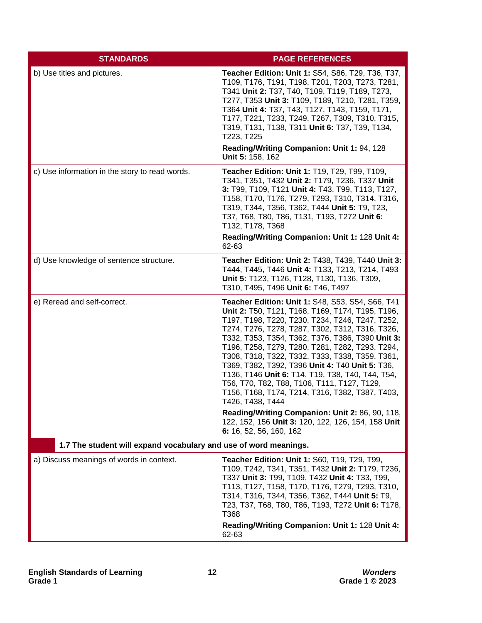| <b>STANDARDS</b>                                                 | <b>PAGE REFERENCES</b>                                                                                                                                                                                                                                                                                                                                                                                                                                                                                                                                                                            |
|------------------------------------------------------------------|---------------------------------------------------------------------------------------------------------------------------------------------------------------------------------------------------------------------------------------------------------------------------------------------------------------------------------------------------------------------------------------------------------------------------------------------------------------------------------------------------------------------------------------------------------------------------------------------------|
| b) Use titles and pictures.                                      | Teacher Edition: Unit 1: S54, S86, T29, T36, T37,<br>T109, T176, T191, T198, T201, T203, T273, T281,<br>T341 Unit 2: T37, T40, T109, T119, T189, T273,<br>T277, T353 Unit 3: T109, T189, T210, T281, T359,<br>T364 Unit 4: T37, T43, T127, T143, T159, T171,<br>T177, T221, T233, T249, T267, T309, T310, T315,<br>T319, T131, T138, T311 Unit 6: T37, T39, T134,<br>T223, T225<br>Reading/Writing Companion: Unit 1: 94, 128<br>Unit 5: 158, 162                                                                                                                                                 |
| c) Use information in the story to read words.                   | <b>Teacher Edition: Unit 1: T19, T29, T99, T109,</b><br>T341, T351, T432 Unit 2: T179, T236, T337 Unit<br>3: T99, T109, T121 Unit 4: T43, T99, T113, T127,<br>T158, T170, T176, T279, T293, T310, T314, T316,<br>T319, T344, T356, T362, T444 Unit 5: T9, T23,<br>T37, T68, T80, T86, T131, T193, T272 Unit 6:<br>T132, T178, T368<br>Reading/Writing Companion: Unit 1: 128 Unit 4:<br>62-63                                                                                                                                                                                                     |
| d) Use knowledge of sentence structure.                          | Teacher Edition: Unit 2: T438, T439, T440 Unit 3:<br>T444, T445, T446 Unit 4: T133, T213, T214, T493<br>Unit 5: T123, T126, T128, T130, T136, T309,<br>T310, T495, T496 Unit 6: T46, T497                                                                                                                                                                                                                                                                                                                                                                                                         |
| e) Reread and self-correct.                                      | Teacher Edition: Unit 1: S48, S53, S54, S66, T41<br>Unit 2: T50, T121, T168, T169, T174, T195, T196,<br>T197, T198, T220, T230, T234, T246, T247, T252,<br>T274, T276, T278, T287, T302, T312, T316, T326,<br>T332, T353, T354, T362, T376, T386, T390 Unit 3:<br>T196, T258, T279, T280, T281, T282, T293, T294,<br>T308, T318, T322, T332, T333, T338, T359, T361,<br>T369, T382, T392, T396 Unit 4: T40 Unit 5: T36,<br>T136, T146 Unit 6: T14, T19, T38, T40, T44, T54,<br>T56, T70, T82, T88, T106, T111, T127, T129,<br>T156, T168, T174, T214, T316, T382, T387, T403,<br>T426, T438, T444 |
|                                                                  | Reading/Writing Companion: Unit 2: 86, 90, 118,<br>122, 152, 156 Unit 3: 120, 122, 126, 154, 158 Unit<br>6: 16, 52, 56, 160, 162                                                                                                                                                                                                                                                                                                                                                                                                                                                                  |
| 1.7 The student will expand vocabulary and use of word meanings. |                                                                                                                                                                                                                                                                                                                                                                                                                                                                                                                                                                                                   |
| a) Discuss meanings of words in context.                         | Teacher Edition: Unit 1: S60, T19, T29, T99,<br>T109, T242, T341, T351, T432 Unit 2: T179, T236,<br>T337 Unit 3: T99, T109, T432 Unit 4: T33, T99,<br>T113, T127, T158, T170, T176, T279, T293, T310,<br>T314, T316, T344, T356, T362, T444 Unit 5: T9,<br>T23, T37, T68, T80, T86, T193, T272 Unit 6: T178,<br>T368<br>Reading/Writing Companion: Unit 1: 128 Unit 4:<br>62-63                                                                                                                                                                                                                   |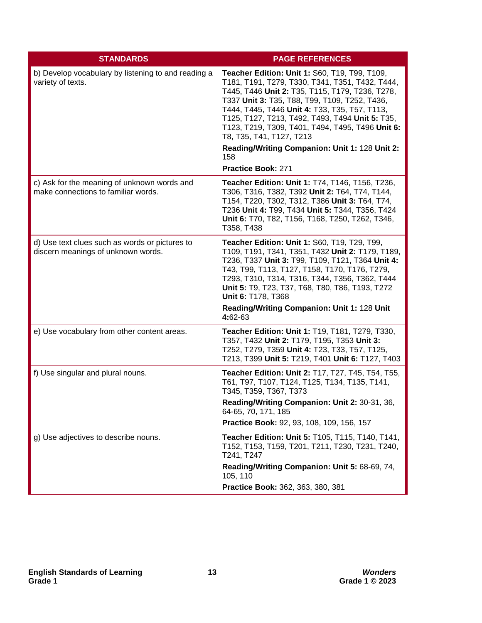| <b>STANDARDS</b>                                                                     | <b>PAGE REFERENCES</b>                                                                                                                                                                                                                                                                                                                                                                                                                            |
|--------------------------------------------------------------------------------------|---------------------------------------------------------------------------------------------------------------------------------------------------------------------------------------------------------------------------------------------------------------------------------------------------------------------------------------------------------------------------------------------------------------------------------------------------|
| b) Develop vocabulary by listening to and reading a<br>variety of texts.             | Teacher Edition: Unit 1: S60, T19, T99, T109,<br>T181, T191, T279, T330, T341, T351, T432, T444,<br>T445, T446 Unit 2: T35, T115, T179, T236, T278,<br>T337 Unit 3: T35, T88, T99, T109, T252, T436,<br>T444, T445, T446 Unit 4: T33, T35, T57, T113,<br>T125, T127, T213, T492, T493, T494 Unit 5: T35,<br>T123, T219, T309, T401, T494, T495, T496 Unit 6:<br>T8, T35, T41, T127, T213<br>Reading/Writing Companion: Unit 1: 128 Unit 2:<br>158 |
|                                                                                      | Practice Book: 271                                                                                                                                                                                                                                                                                                                                                                                                                                |
| c) Ask for the meaning of unknown words and<br>make connections to familiar words.   | Teacher Edition: Unit 1: T74, T146, T156, T236,<br>T306, T316, T382, T392 Unit 2: T64, T74, T144,<br>T154, T220, T302, T312, T386 Unit 3: T64, T74,<br>T236 Unit 4: T99, T434 Unit 5: T344, T356, T424<br>Unit 6: T70, T82, T156, T168, T250, T262, T346,<br>T358, T438                                                                                                                                                                           |
| d) Use text clues such as words or pictures to<br>discern meanings of unknown words. | Teacher Edition: Unit 1: S60, T19, T29, T99,<br>T109, T191, T341, T351, T432 Unit 2: T179, T189,<br>T236, T337 Unit 3: T99, T109, T121, T364 Unit 4:<br>T43, T99, T113, T127, T158, T170, T176, T279,<br>T293, T310, T314, T316, T344, T356, T362, T444<br>Unit 5: T9, T23, T37, T68, T80, T86, T193, T272<br>Unit 6: T178, T368<br>Reading/Writing Companion: Unit 1: 128 Unit<br>4:62-63                                                        |
| e) Use vocabulary from other content areas.                                          | Teacher Edition: Unit 1: T19, T181, T279, T330,<br>T357, T432 Unit 2: T179, T195, T353 Unit 3:<br>T252, T279, T359 Unit 4: T23, T33, T57, T125,<br>T213, T399 Unit 5: T219, T401 Unit 6: T127, T403                                                                                                                                                                                                                                               |
| f) Use singular and plural nouns.                                                    | Teacher Edition: Unit 2: T17, T27, T45, T54, T55,<br>T61, T97, T107, T124, T125, T134, T135, T141,<br>T345, T359, T367, T373<br>Reading/Writing Companion: Unit 2: 30-31, 36,<br>64-65, 70, 171, 185<br>Practice Book: 92, 93, 108, 109, 156, 157                                                                                                                                                                                                 |
| g) Use adjectives to describe nouns.                                                 | Teacher Edition: Unit 5: T105, T115, T140, T141,<br>T152, T153, T159, T201, T211, T230, T231, T240,<br>T241, T247                                                                                                                                                                                                                                                                                                                                 |
|                                                                                      | Reading/Writing Companion: Unit 5: 68-69, 74,<br>105, 110                                                                                                                                                                                                                                                                                                                                                                                         |
|                                                                                      | Practice Book: 362, 363, 380, 381                                                                                                                                                                                                                                                                                                                                                                                                                 |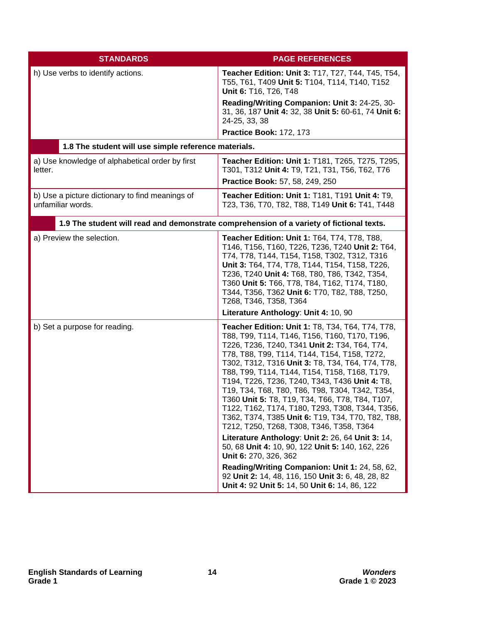| <b>STANDARDS</b>                                                     | <b>PAGE REFERENCES</b>                                                                                                                                                                                                                                                                                                                                                                                                                                                                                                                                                                                                                                                                                                                                                                                                                                                                                              |
|----------------------------------------------------------------------|---------------------------------------------------------------------------------------------------------------------------------------------------------------------------------------------------------------------------------------------------------------------------------------------------------------------------------------------------------------------------------------------------------------------------------------------------------------------------------------------------------------------------------------------------------------------------------------------------------------------------------------------------------------------------------------------------------------------------------------------------------------------------------------------------------------------------------------------------------------------------------------------------------------------|
| h) Use verbs to identify actions.                                    | <b>Teacher Edition: Unit 3: T17, T27, T44, T45, T54,</b><br>T55, T61, T409 Unit 5: T104, T114, T140, T152<br>Unit 6: T16, T26, T48                                                                                                                                                                                                                                                                                                                                                                                                                                                                                                                                                                                                                                                                                                                                                                                  |
|                                                                      | Reading/Writing Companion: Unit 3: 24-25, 30-<br>31, 36, 187 Unit 4: 32, 38 Unit 5: 60-61, 74 Unit 6:<br>24-25, 33, 38                                                                                                                                                                                                                                                                                                                                                                                                                                                                                                                                                                                                                                                                                                                                                                                              |
|                                                                      | Practice Book: 172, 173                                                                                                                                                                                                                                                                                                                                                                                                                                                                                                                                                                                                                                                                                                                                                                                                                                                                                             |
| 1.8 The student will use simple reference materials.                 |                                                                                                                                                                                                                                                                                                                                                                                                                                                                                                                                                                                                                                                                                                                                                                                                                                                                                                                     |
| a) Use knowledge of alphabetical order by first<br>letter.           | Teacher Edition: Unit 1: T181, T265, T275, T295,<br>T301, T312 Unit 4: T9, T21, T31, T56, T62, T76<br>Practice Book: 57, 58, 249, 250                                                                                                                                                                                                                                                                                                                                                                                                                                                                                                                                                                                                                                                                                                                                                                               |
| b) Use a picture dictionary to find meanings of<br>unfamiliar words. | Teacher Edition: Unit 1: T181, T191 Unit 4: T9,<br>T23, T36, T70, T82, T88, T149 Unit 6: T41, T448                                                                                                                                                                                                                                                                                                                                                                                                                                                                                                                                                                                                                                                                                                                                                                                                                  |
|                                                                      | 1.9 The student will read and demonstrate comprehension of a variety of fictional texts.                                                                                                                                                                                                                                                                                                                                                                                                                                                                                                                                                                                                                                                                                                                                                                                                                            |
| a) Preview the selection.                                            | Teacher Edition: Unit 1: T64, T74, T78, T88,<br>T146, T156, T160, T226, T236, T240 Unit 2: T64,<br>T74, T78, T144, T154, T158, T302, T312, T316<br>Unit 3: T64, T74, T78, T144, T154, T158, T226,<br>T236, T240 Unit 4: T68, T80, T86, T342, T354,<br>T360 Unit 5: T66, T78, T84, T162, T174, T180,<br>T344, T356, T362 Unit 6: T70, T82, T88, T250,<br>T268, T346, T358, T364<br>Literature Anthology: Unit 4: 10, 90                                                                                                                                                                                                                                                                                                                                                                                                                                                                                              |
| b) Set a purpose for reading.                                        | <b>Teacher Edition: Unit 1: T8, T34, T64, T74, T78,</b><br>T88, T99, T114, T146, T156, T160, T170, T196,<br>T226, T236, T240, T341 Unit 2: T34, T64, T74,<br>T78, T88, T99, T114, T144, T154, T158, T272,<br>T302, T312, T316 Unit 3: T8, T34, T64, T74, T78,<br>T88, T99, T114, T144, T154, T158, T168, T179,<br>T194, T226, T236, T240, T343, T436 Unit 4: T8,<br>T19, T34, T68, T80, T86, T98, T304, T342, T354,<br>T360 Unit 5: T8, T19, T34, T66, T78, T84, T107,<br>T122, T162, T174, T180, T293, T308, T344, T356,<br>T362, T374, T385 Unit 6: T19, T34, T70, T82, T88,<br>T212, T250, T268, T308, T346, T358, T364<br>Literature Anthology: Unit 2: 26, 64 Unit 3: 14,<br>50, 68 Unit 4: 10, 90, 122 Unit 5: 140, 162, 226<br>Unit 6: 270, 326, 362<br>Reading/Writing Companion: Unit 1: 24, 58, 62,<br>92 Unit 2: 14, 48, 116, 150 Unit 3: 6, 48, 28, 82<br>Unit 4: 92 Unit 5: 14, 50 Unit 6: 14, 86, 122 |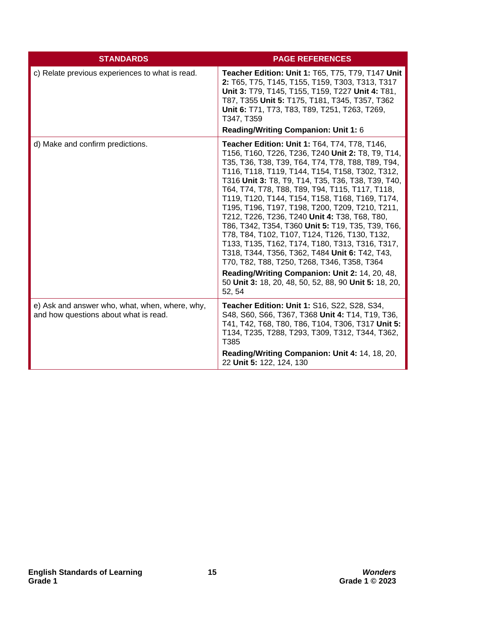| <b>STANDARDS</b>                                                                        | <b>PAGE REFERENCES</b>                                                                                                                                                                                                                                                                                                                                                                                                                                                                                                                                                                                                                                                                                                                                                                                                                                           |
|-----------------------------------------------------------------------------------------|------------------------------------------------------------------------------------------------------------------------------------------------------------------------------------------------------------------------------------------------------------------------------------------------------------------------------------------------------------------------------------------------------------------------------------------------------------------------------------------------------------------------------------------------------------------------------------------------------------------------------------------------------------------------------------------------------------------------------------------------------------------------------------------------------------------------------------------------------------------|
| c) Relate previous experiences to what is read.                                         | Teacher Edition: Unit 1: T65, T75, T79, T147 Unit<br>2: T65, T75, T145, T155, T159, T303, T313, T317<br>Unit 3: T79, T145, T155, T159, T227 Unit 4: T81,<br>T87, T355 Unit 5: T175, T181, T345, T357, T362<br>Unit 6: T71, T73, T83, T89, T251, T263, T269,<br>T347, T359<br>Reading/Writing Companion: Unit 1: 6                                                                                                                                                                                                                                                                                                                                                                                                                                                                                                                                                |
| d) Make and confirm predictions.                                                        | <b>Teacher Edition: Unit 1: T64, T74, T78, T146,</b><br>T156, T160, T226, T236, T240 Unit 2: T8, T9, T14,<br>T35, T36, T38, T39, T64, T74, T78, T88, T89, T94,<br>T116, T118, T119, T144, T154, T158, T302, T312,<br>T316 Unit 3: T8, T9, T14, T35, T36, T38, T39, T40,<br>T64, T74, T78, T88, T89, T94, T115, T117, T118,<br>T119, T120, T144, T154, T158, T168, T169, T174,<br>T195, T196, T197, T198, T200, T209, T210, T211,<br>T212, T226, T236, T240 Unit 4: T38, T68, T80,<br>T86, T342, T354, T360 Unit 5: T19, T35, T39, T66,<br>T78, T84, T102, T107, T124, T126, T130, T132,<br>T133, T135, T162, T174, T180, T313, T316, T317,<br>T318, T344, T356, T362, T484 Unit 6: T42, T43,<br>T70, T82, T88, T250, T268, T346, T358, T364<br>Reading/Writing Companion: Unit 2: 14, 20, 48,<br>50 Unit 3: 18, 20, 48, 50, 52, 88, 90 Unit 5: 18, 20,<br>52, 54 |
| e) Ask and answer who, what, when, where, why,<br>and how questions about what is read. | Teacher Edition: Unit 1: S16, S22, S28, S34,<br>S48, S60, S66, T367, T368 Unit 4: T14, T19, T36,<br>T41, T42, T68, T80, T86, T104, T306, T317 Unit 5:<br>T134, T235, T288, T293, T309, T312, T344, T362,<br>T385<br>Reading/Writing Companion: Unit 4: 14, 18, 20,<br>22 Unit 5: 122, 124, 130                                                                                                                                                                                                                                                                                                                                                                                                                                                                                                                                                                   |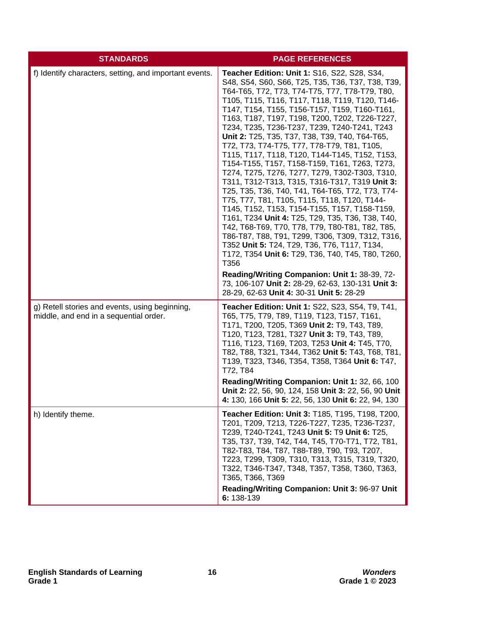| <b>STANDARDS</b>                                                                         | <b>PAGE REFERENCES</b>                                                                                                                                                                                                                                                                                                                                                                                                                                                                                                                                                                                                                                                                                                                                                                                                                                                                                                                                                                                                                                                                                                                                                                                                                           |
|------------------------------------------------------------------------------------------|--------------------------------------------------------------------------------------------------------------------------------------------------------------------------------------------------------------------------------------------------------------------------------------------------------------------------------------------------------------------------------------------------------------------------------------------------------------------------------------------------------------------------------------------------------------------------------------------------------------------------------------------------------------------------------------------------------------------------------------------------------------------------------------------------------------------------------------------------------------------------------------------------------------------------------------------------------------------------------------------------------------------------------------------------------------------------------------------------------------------------------------------------------------------------------------------------------------------------------------------------|
| f) Identify characters, setting, and important events.                                   | Teacher Edition: Unit 1: S16, S22, S28, S34,<br>S48, S54, S60, S66, T25, T35, T36, T37, T38, T39,<br>T64-T65, T72, T73, T74-T75, T77, T78-T79, T80,<br>T105, T115, T116, T117, T118, T119, T120, T146-<br>T147, T154, T155, T156-T157, T159, T160-T161,<br>T163, T187, T197, T198, T200, T202, T226-T227,<br>T234, T235, T236-T237, T239, T240-T241, T243<br>Unit 2: T25, T35, T37, T38, T39, T40, T64-T65,<br>T72, T73, T74-T75, T77, T78-T79, T81, T105,<br>T115, T117, T118, T120, T144-T145, T152, T153,<br>T154-T155, T157, T158-T159, T161, T263, T273,<br>T274, T275, T276, T277, T279, T302-T303, T310,<br>T311, T312-T313, T315, T316-T317, T319 Unit 3:<br>T25, T35, T36, T40, T41, T64-T65, T72, T73, T74-<br>T75, T77, T81, T105, T115, T118, T120, T144-<br>T145, T152, T153, T154-T155, T157, T158-T159,<br>T161, T234 Unit 4: T25, T29, T35, T36, T38, T40,<br>T42, T68-T69, T70, T78, T79, T80-T81, T82, T85,<br>T86-T87, T88, T91, T299, T306, T309, T312, T316,<br>T352 Unit 5: T24, T29, T36, T76, T117, T134,<br>T172, T354 Unit 6: T29, T36, T40, T45, T80, T260,<br>T356<br>Reading/Writing Companion: Unit 1: 38-39, 72-<br>73, 106-107 Unit 2: 28-29, 62-63, 130-131 Unit 3:<br>28-29, 62-63 Unit 4: 30-31 Unit 5: 28-29 |
| g) Retell stories and events, using beginning,<br>middle, and end in a sequential order. | <b>Teacher Edition: Unit 1: S22, S23, S54, T9, T41,</b><br>T65, T75, T79, T89, T119, T123, T157, T161,<br>T171, T200, T205, T369 Unit 2: T9, T43, T89,<br>T120, T123, T281, T327 Unit 3: T9, T43, T89,<br>T116, T123, T169, T203, T253 Unit 4: T45, T70,<br>T82, T88, T321, T344, T362 Unit 5: T43, T68, T81,<br>T139, T323, T346, T354, T358, T364 Unit 6: T47,<br>T72, T84<br>Reading/Writing Companion: Unit 1: 32, 66, 100<br>Unit 2: 22, 56, 90, 124, 158 Unit 3: 22, 56, 90 Unit<br>4: 130, 166 Unit 5: 22, 56, 130 Unit 6: 22, 94, 130                                                                                                                                                                                                                                                                                                                                                                                                                                                                                                                                                                                                                                                                                                    |
| h) Identify theme.                                                                       | <b>Teacher Edition: Unit 3: T185, T195, T198, T200,</b><br>T201, T209, T213, T226-T227, T235, T236-T237,<br>T239, T240-T241, T243 Unit 5: T9 Unit 6: T25,<br>T35, T37, T39, T42, T44, T45, T70-T71, T72, T81,<br>T82-T83, T84, T87, T88-T89, T90, T93, T207,<br>T223, T299, T309, T310, T313, T315, T319, T320,<br>T322, T346-T347, T348, T357, T358, T360, T363,<br>T365, T366, T369<br>Reading/Writing Companion: Unit 3: 96-97 Unit<br>6: 138-139                                                                                                                                                                                                                                                                                                                                                                                                                                                                                                                                                                                                                                                                                                                                                                                             |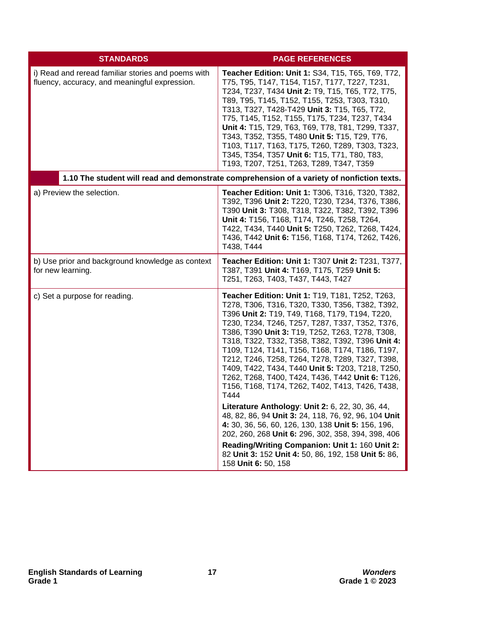| <b>STANDARDS</b>                                                                                    | <b>PAGE REFERENCES</b>                                                                                                                                                                                                                                                                                                                                                                                                                                                                                                                                                                                                                                                                                                                                                                                                                                                                                                                          |
|-----------------------------------------------------------------------------------------------------|-------------------------------------------------------------------------------------------------------------------------------------------------------------------------------------------------------------------------------------------------------------------------------------------------------------------------------------------------------------------------------------------------------------------------------------------------------------------------------------------------------------------------------------------------------------------------------------------------------------------------------------------------------------------------------------------------------------------------------------------------------------------------------------------------------------------------------------------------------------------------------------------------------------------------------------------------|
| i) Read and reread familiar stories and poems with<br>fluency, accuracy, and meaningful expression. | Teacher Edition: Unit 1: S34, T15, T65, T69, T72,<br>T75, T95, T147, T154, T157, T177, T227, T231,<br>T234, T237, T434 Unit 2: T9, T15, T65, T72, T75,<br>T89, T95, T145, T152, T155, T253, T303, T310,<br>T313, T327, T428-T429 Unit 3: T15, T65, T72,<br>T75, T145, T152, T155, T175, T234, T237, T434<br>Unit 4: T15, T29, T63, T69, T78, T81, T299, T337,<br>T343, T352, T355, T480 Unit 5: T15, T29, T76,<br>T103, T117, T163, T175, T260, T289, T303, T323,<br>T345, T354, T357 Unit 6: T15, T71, T80, T83,<br>T193, T207, T251, T263, T289, T347, T359                                                                                                                                                                                                                                                                                                                                                                                   |
|                                                                                                     | 1.10 The student will read and demonstrate comprehension of a variety of nonfiction texts.                                                                                                                                                                                                                                                                                                                                                                                                                                                                                                                                                                                                                                                                                                                                                                                                                                                      |
| a) Preview the selection.                                                                           | Teacher Edition: Unit 1: T306, T316, T320, T382,<br>T392, T396 Unit 2: T220, T230, T234, T376, T386,<br>T390 Unit 3: T308, T318, T322, T382, T392, T396<br>Unit 4: T156, T168, T174, T246, T258, T264,<br>T422, T434, T440 Unit 5: T250, T262, T268, T424,<br>T436, T442 Unit 6: T156, T168, T174, T262, T426,<br>T438, T444                                                                                                                                                                                                                                                                                                                                                                                                                                                                                                                                                                                                                    |
| b) Use prior and background knowledge as context<br>for new learning.                               | Teacher Edition: Unit 1: T307 Unit 2: T231, T377,<br>T387, T391 Unit 4: T169, T175, T259 Unit 5:<br>T251, T263, T403, T437, T443, T427                                                                                                                                                                                                                                                                                                                                                                                                                                                                                                                                                                                                                                                                                                                                                                                                          |
| c) Set a purpose for reading.                                                                       | Teacher Edition: Unit 1: T19, T181, T252, T263,<br>T278, T306, T316, T320, T330, T356, T382, T392,<br>T396 Unit 2: T19, T49, T168, T179, T194, T220,<br>T230, T234, T246, T257, T287, T337, T352, T376,<br>T386, T390 Unit 3: T19, T252, T263, T278, T308,<br>T318, T322, T332, T358, T382, T392, T396 Unit 4:<br>T109, T124, T141, T156, T168, T174, T186, T197,<br>T212, T246, T258, T264, T278, T289, T327, T398,<br>T409, T422, T434, T440 Unit 5: T203, T218, T250,<br>T262, T268, T400, T424, T436, T442 Unit 6: T126,<br>T156, T168, T174, T262, T402, T413, T426, T438,<br>T444<br>Literature Anthology: Unit 2: 6, 22, 30, 36, 44,<br>48, 82, 86, 94 Unit 3: 24, 118, 76, 92, 96, 104 Unit<br>4: 30, 36, 56, 60, 126, 130, 138 Unit 5: 156, 196,<br>202, 260, 268 Unit 6: 296, 302, 358, 394, 398, 406<br>Reading/Writing Companion: Unit 1: 160 Unit 2:<br>82 Unit 3: 152 Unit 4: 50, 86, 192, 158 Unit 5: 86,<br>158 Unit 6: 50, 158 |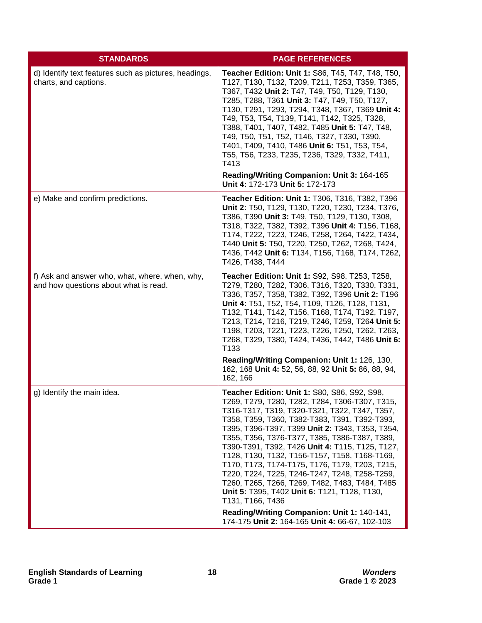| <b>STANDARDS</b>                                                                        | <b>PAGE REFERENCES</b>                                                                                                                                                                                                                                                                                                                                                                                                                                                                                                                                                                                                                                                                                                             |
|-----------------------------------------------------------------------------------------|------------------------------------------------------------------------------------------------------------------------------------------------------------------------------------------------------------------------------------------------------------------------------------------------------------------------------------------------------------------------------------------------------------------------------------------------------------------------------------------------------------------------------------------------------------------------------------------------------------------------------------------------------------------------------------------------------------------------------------|
| d) Identify text features such as pictures, headings,<br>charts, and captions.          | <b>Teacher Edition: Unit 1: S86, T45, T47, T48, T50,</b><br>T127, T130, T132, T209, T211, T253, T359, T365,<br>T367, T432 Unit 2: T47, T49, T50, T129, T130,<br>T285, T288, T361 Unit 3: T47, T49, T50, T127,<br>T130, T291, T293, T294, T348, T367, T369 Unit 4:<br>T49, T53, T54, T139, T141, T142, T325, T328,<br>T388, T401, T407, T482, T485 Unit 5: T47, T48,<br>T49, T50, T51, T52, T146, T327, T330, T390,<br>T401, T409, T410, T486 Unit 6: T51, T53, T54,<br>T55, T56, T233, T235, T236, T329, T332, T411,<br>T413<br>Reading/Writing Companion: Unit 3: 164-165<br>Unit 4: 172-173 Unit 5: 172-173                                                                                                                      |
| e) Make and confirm predictions.                                                        | <b>Teacher Edition: Unit 1: T306, T316, T382, T396</b><br>Unit 2: T50, T129, T130, T220, T230, T234, T376,<br>T386, T390 Unit 3: T49, T50, T129, T130, T308,<br>T318, T322, T382, T392, T396 Unit 4: T156, T168,<br>T174, T222, T223, T246, T258, T264, T422, T434,<br>T440 Unit 5: T50, T220, T250, T262, T268, T424,<br>T436, T442 Unit 6: T134, T156, T168, T174, T262,<br>T426, T438, T444                                                                                                                                                                                                                                                                                                                                     |
| f) Ask and answer who, what, where, when, why,<br>and how questions about what is read. | Teacher Edition: Unit 1: S92, S98, T253, T258,<br>T279, T280, T282, T306, T316, T320, T330, T331,<br>T336, T357, T358, T382, T392, T396 Unit 2: T196<br>Unit 4: T51, T52, T54, T109, T126, T128, T131,<br>T132, T141, T142, T156, T168, T174, T192, T197,<br>T213, T214, T216, T219, T246, T259, T264 Unit 5:<br>T198, T203, T221, T223, T226, T250, T262, T263,<br>T268, T329, T380, T424, T436, T442, T486 Unit 6:<br>T <sub>133</sub><br>Reading/Writing Companion: Unit 1: 126, 130,<br>162, 168 Unit 4: 52, 56, 88, 92 Unit 5: 86, 88, 94,<br>162, 166                                                                                                                                                                        |
| g) Identify the main idea.                                                              | Teacher Edition: Unit 1: S80, S86, S92, S98,<br>T269, T279, T280, T282, T284, T306-T307, T315,<br>T316-T317, T319, T320-T321, T322, T347, T357,<br>T358, T359, T360, T382-T383, T391, T392-T393,<br>T395, T396-T397, T399 Unit 2: T343, T353, T354,<br>T355, T356, T376-T377, T385, T386-T387, T389,<br>T390-T391, T392, T426 Unit 4: T115, T125, T127,<br>T128, T130, T132, T156-T157, T158, T168-T169,<br>T170, T173, T174-T175, T176, T179, T203, T215,<br>T220, T224, T225, T246-T247, T248, T258-T259,<br>T260, T265, T266, T269, T482, T483, T484, T485<br>Unit 5: T395, T402 Unit 6: T121, T128, T130,<br>T131, T166, T436<br>Reading/Writing Companion: Unit 1: 140-141,<br>174-175 Unit 2: 164-165 Unit 4: 66-67, 102-103 |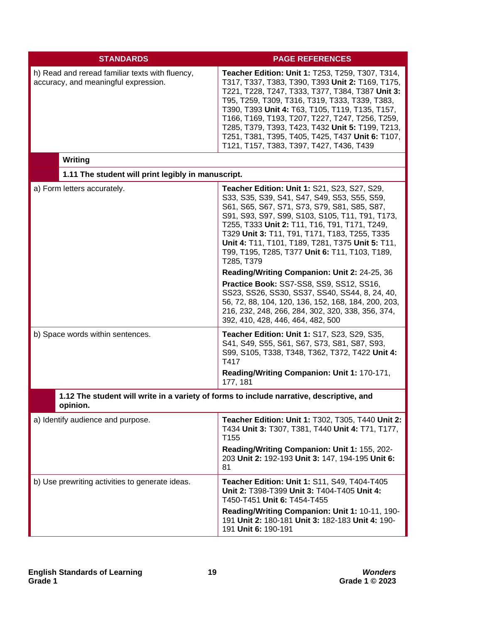| <b>STANDARDS</b>                                                                                     | <b>PAGE REFERENCES</b>                                                                                                                                                                                                                                                                                                                                                                                                                                                                                                                                                                                                                                                                                               |
|------------------------------------------------------------------------------------------------------|----------------------------------------------------------------------------------------------------------------------------------------------------------------------------------------------------------------------------------------------------------------------------------------------------------------------------------------------------------------------------------------------------------------------------------------------------------------------------------------------------------------------------------------------------------------------------------------------------------------------------------------------------------------------------------------------------------------------|
| h) Read and reread familiar texts with fluency,<br>accuracy, and meaningful expression.              | Teacher Edition: Unit 1: T253, T259, T307, T314,<br>T317, T337, T383, T390, T393 Unit 2: T169, T175,<br>T221, T228, T247, T333, T377, T384, T387 Unit 3:<br>T95, T259, T309, T316, T319, T333, T339, T383,<br>T390, T393 Unit 4: T63, T105, T119, T135, T157,<br>T166, T169, T193, T207, T227, T247, T256, T259,<br>T285, T379, T393, T423, T432 Unit 5: T199, T213,<br>T251, T381, T395, T405, T425, T437 Unit 6: T107,<br>T121, T157, T383, T397, T427, T436, T439                                                                                                                                                                                                                                                 |
| <b>Writing</b><br>1.11 The student will print legibly in manuscript.                                 |                                                                                                                                                                                                                                                                                                                                                                                                                                                                                                                                                                                                                                                                                                                      |
| a) Form letters accurately.                                                                          | Teacher Edition: Unit 1: S21, S23, S27, S29,<br>S33, S35, S39, S41, S47, S49, S53, S55, S59,<br>S61, S65, S67, S71, S73, S79, S81, S85, S87,<br>S91, S93, S97, S99, S103, S105, T11, T91, T173,<br>T255, T333 Unit 2: T11, T16, T91, T171, T249,<br>T329 Unit 3: T11, T91, T171, T183, T255, T335<br>Unit 4: T11, T101, T189, T281, T375 Unit 5: T11,<br>T99, T195, T285, T377 Unit 6: T11, T103, T189,<br>T285, T379<br>Reading/Writing Companion: Unit 2: 24-25, 36<br>Practice Book: SS7-SS8, SS9, SS12, SS16,<br>SS23, SS26, SS30, SS37, SS40, SS44, 8, 24, 40,<br>56, 72, 88, 104, 120, 136, 152, 168, 184, 200, 203,<br>216, 232, 248, 266, 284, 302, 320, 338, 356, 374,<br>392, 410, 428, 446, 464, 482, 500 |
| b) Space words within sentences.                                                                     | Teacher Edition: Unit 1: S17, S23, S29, S35,<br>S41, S49, S55, S61, S67, S73, S81, S87, S93,<br>S99, S105, T338, T348, T362, T372, T422 Unit 4:<br>T417<br>Reading/Writing Companion: Unit 1: 170-171,<br>177, 181                                                                                                                                                                                                                                                                                                                                                                                                                                                                                                   |
| 1.12 The student will write in a variety of forms to include narrative, descriptive, and<br>opinion. |                                                                                                                                                                                                                                                                                                                                                                                                                                                                                                                                                                                                                                                                                                                      |
| a) Identify audience and purpose.                                                                    | Teacher Edition: Unit 1: T302, T305, T440 Unit 2:<br>T434 Unit 3: T307, T381, T440 Unit 4: T71, T177,<br>T155<br>Reading/Writing Companion: Unit 1: 155, 202-<br>203 Unit 2: 192-193 Unit 3: 147, 194-195 Unit 6:<br>81                                                                                                                                                                                                                                                                                                                                                                                                                                                                                              |
| b) Use prewriting activities to generate ideas.                                                      | Teacher Edition: Unit 1: S11, S49, T404-T405<br>Unit 2: T398-T399 Unit 3: T404-T405 Unit 4:<br>T450-T451 Unit 6: T454-T455<br>Reading/Writing Companion: Unit 1: 10-11, 190-<br>191 Unit 2: 180-181 Unit 3: 182-183 Unit 4: 190-<br>191 Unit 6: 190-191                                                                                                                                                                                                                                                                                                                                                                                                                                                              |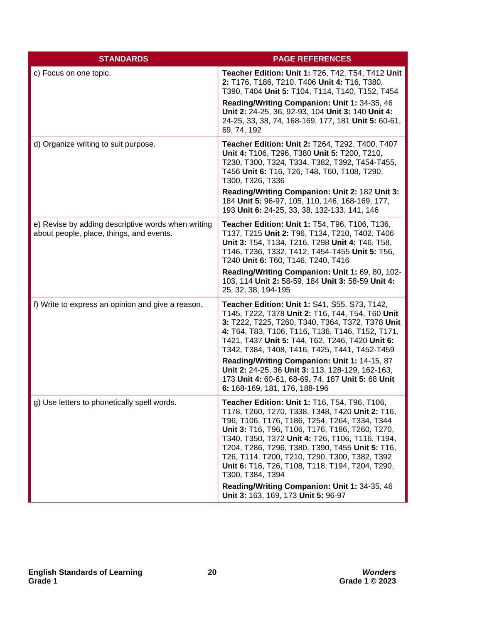| <b>STANDARDS</b>                                                                               | <b>PAGE REFERENCES</b>                                                                                                                                                                                                                                                                                                                                                                                                                                                                                                    |
|------------------------------------------------------------------------------------------------|---------------------------------------------------------------------------------------------------------------------------------------------------------------------------------------------------------------------------------------------------------------------------------------------------------------------------------------------------------------------------------------------------------------------------------------------------------------------------------------------------------------------------|
| c) Focus on one topic.                                                                         | Teacher Edition: Unit 1: T26, T42, T54, T412 Unit<br>2: T176, T186, T210, T406 Unit 4: T16, T380,<br>T390, T404 Unit 5: T104, T114, T140, T152, T454                                                                                                                                                                                                                                                                                                                                                                      |
|                                                                                                | Reading/Writing Companion: Unit 1: 34-35, 46<br>Unit 2: 24-25, 36, 92-93, 104 Unit 3: 140 Unit 4:<br>24-25, 33, 38, 74, 168-169, 177, 181 Unit 5: 60-61,<br>69, 74, 192                                                                                                                                                                                                                                                                                                                                                   |
| d) Organize writing to suit purpose.                                                           | Teacher Edition: Unit 2: T264, T292, T400, T407<br>Unit 4: T106, T296, T380 Unit 5: T200, T210,<br>T230, T300, T324, T334, T382, T392, T454-T455,<br>T456 Unit 6: T16, T26, T48, T60, T108, T290,<br>T300, T326, T336                                                                                                                                                                                                                                                                                                     |
|                                                                                                | Reading/Writing Companion: Unit 2: 182 Unit 3:<br>184 Unit 5: 96-97, 105, 110, 146, 168-169, 177,<br>193 Unit 6: 24-25, 33, 38, 132-133, 141, 146                                                                                                                                                                                                                                                                                                                                                                         |
| e) Revise by adding descriptive words when writing<br>about people, place, things, and events. | Teacher Edition: Unit 1: T54, T96, T106, T136,<br>T137, T215 Unit 2: T96, T134, T210, T402, T406<br>Unit 3: T54, T134, T216, T298 Unit 4: T46, T58,<br>T146, T236, T332, T412, T454-T455 Unit 5: T56,<br>T240 Unit 6: T60, T146, T240, T416<br>Reading/Writing Companion: Unit 1: 69, 80, 102-<br>103, 114 Unit 2: 58-59, 184 Unit 3: 58-59 Unit 4:<br>25, 32, 38, 194-195                                                                                                                                                |
| f) Write to express an opinion and give a reason.                                              | Teacher Edition: Unit 1: S41, S55, S73, T142,<br>T145, T222, T378 Unit 2: T16, T44, T54, T60 Unit<br>3: T222, T225, T260, T340, T364, T372, T378 Unit<br>4: T64, T83, T106, T116, T136, T146, T152, T171,<br>T421, T437 Unit 5: T44, T62, T246, T420 Unit 6:<br>T342, T384, T408, T416, T425, T441, T452-T459<br>Reading/Writing Companion: Unit 1: 14-15, 87<br>Unit 2: 24-25, 36 Unit 3: 113, 128-129, 162-163,<br>173 Unit 4: 60-61, 68-69, 74, 187 Unit 5: 68 Unit<br>6: 168-169, 181, 176, 188-196                   |
| g) Use letters to phonetically spell words.                                                    | Teacher Edition: Unit 1: T16, T54, T96, T106,<br>T178, T260, T270, T338, T348, T420 Unit 2: T16,<br>T96, T106, T176, T186, T254, T264, T334, T344<br>Unit 3: T16, T96, T106, T176, T186, T260, T270,<br>T340, T350, T372 Unit 4: T26, T106, T116, T194,<br>T204, T286, T296, T380, T390, T455 Unit 5: T16,<br>T26, T114, T200, T210, T290, T300, T382, T392<br>Unit 6: T16, T26, T108, T118, T194, T204, T290,<br>T300, T384, T394<br>Reading/Writing Companion: Unit 1: 34-35, 46<br>Unit 3: 163, 169, 173 Unit 5: 96-97 |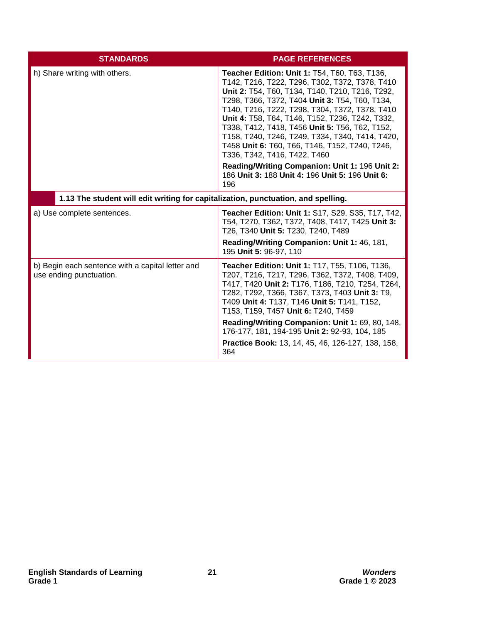| <b>STANDARDS</b>                                                                  | <b>PAGE REFERENCES</b>                                                                                                                                                                                                                                                                                                                                                                                                                                                                                                                                                                                              |
|-----------------------------------------------------------------------------------|---------------------------------------------------------------------------------------------------------------------------------------------------------------------------------------------------------------------------------------------------------------------------------------------------------------------------------------------------------------------------------------------------------------------------------------------------------------------------------------------------------------------------------------------------------------------------------------------------------------------|
| h) Share writing with others.                                                     | <b>Teacher Edition: Unit 1: T54, T60, T63, T136,</b><br>T142, T216, T222, T296, T302, T372, T378, T410<br>Unit 2: T54, T60, T134, T140, T210, T216, T292,<br>T298, T366, T372, T404 Unit 3: T54, T60, T134,<br>T140, T216, T222, T298, T304, T372, T378, T410<br>Unit 4: T58, T64, T146, T152, T236, T242, T332,<br>T338, T412, T418, T456 Unit 5: T56, T62, T152,<br>T158, T240, T246, T249, T334, T340, T414, T420,<br>T458 Unit 6: T60, T66, T146, T152, T240, T246,<br>T336, T342, T416, T422, T460<br>Reading/Writing Companion: Unit 1: 196 Unit 2:<br>186 Unit 3: 188 Unit 4: 196 Unit 5: 196 Unit 6:<br>196 |
| 1.13 The student will edit writing for capitalization, punctuation, and spelling. |                                                                                                                                                                                                                                                                                                                                                                                                                                                                                                                                                                                                                     |
| a) Use complete sentences.                                                        | <b>Teacher Edition: Unit 1: S17, S29, S35, T17, T42,</b><br>T54, T270, T362, T372, T408, T417, T425 Unit 3:<br>T26, T340 Unit 5: T230, T240, T489<br>Reading/Writing Companion: Unit 1: 46, 181,<br>195 Unit 5: 96-97, 110                                                                                                                                                                                                                                                                                                                                                                                          |
| b) Begin each sentence with a capital letter and<br>use ending punctuation.       | <b>Teacher Edition: Unit 1: T17, T55, T106, T136,</b><br>T207, T216, T217, T296, T362, T372, T408, T409,<br>T417, T420 Unit 2: T176, T186, T210, T254, T264,<br>T282, T292, T366, T367, T373, T403 Unit 3: T9,<br>T409 Unit 4: T137, T146 Unit 5: T141, T152,<br>T153, T159, T457 Unit 6: T240, T459<br>Reading/Writing Companion: Unit 1: 69, 80, 148,<br>176-177, 181, 194-195 Unit 2: 92-93, 104, 185<br>Practice Book: 13, 14, 45, 46, 126-127, 138, 158,                                                                                                                                                       |
|                                                                                   | 364                                                                                                                                                                                                                                                                                                                                                                                                                                                                                                                                                                                                                 |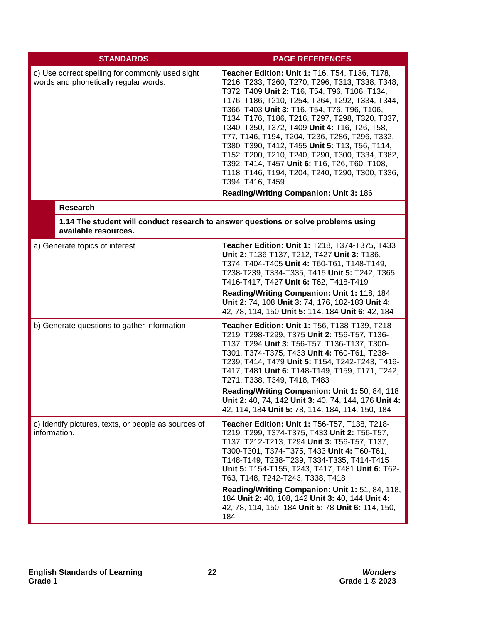| <b>STANDARDS</b>                                                                                           | <b>PAGE REFERENCES</b>                                                                                                                                                                                                                                                                                                                                                                                                                                                                                                                                                                                                                                                             |
|------------------------------------------------------------------------------------------------------------|------------------------------------------------------------------------------------------------------------------------------------------------------------------------------------------------------------------------------------------------------------------------------------------------------------------------------------------------------------------------------------------------------------------------------------------------------------------------------------------------------------------------------------------------------------------------------------------------------------------------------------------------------------------------------------|
| c) Use correct spelling for commonly used sight<br>words and phonetically regular words.                   | Teacher Edition: Unit 1: T16, T54, T136, T178,<br>T216, T233, T260, T270, T296, T313, T338, T348,<br>T372, T409 Unit 2: T16, T54, T96, T106, T134,<br>T176, T186, T210, T254, T264, T292, T334, T344,<br>T366, T403 Unit 3: T16, T54, T76, T96, T106,<br>T134, T176, T186, T216, T297, T298, T320, T337,<br>T340, T350, T372, T409 Unit 4: T16, T26, T58,<br>T77, T146, T194, T204, T236, T286, T296, T332,<br>T380, T390, T412, T455 Unit 5: T13, T56, T114,<br>T152, T200, T210, T240, T290, T300, T334, T382,<br>T392, T414, T457 Unit 6: T16, T26, T60, T108,<br>T118, T146, T194, T204, T240, T290, T300, T336,<br>T394, T416, T459<br>Reading/Writing Companion: Unit 3: 186 |
| <b>Research</b>                                                                                            |                                                                                                                                                                                                                                                                                                                                                                                                                                                                                                                                                                                                                                                                                    |
| 1.14 The student will conduct research to answer questions or solve problems using<br>available resources. |                                                                                                                                                                                                                                                                                                                                                                                                                                                                                                                                                                                                                                                                                    |
| a) Generate topics of interest.                                                                            | Teacher Edition: Unit 1: T218, T374-T375, T433<br>Unit 2: T136-T137, T212, T427 Unit 3: T136,<br>T374, T404-T405 Unit 4: T60-T61, T148-T149,<br>T238-T239, T334-T335, T415 Unit 5: T242, T365,<br>T416-T417, T427 Unit 6: T62, T418-T419<br>Reading/Writing Companion: Unit 1: 118, 184<br>Unit 2: 74, 108 Unit 3: 74, 176, 182-183 Unit 4:<br>42, 78, 114, 150 Unit 5: 114, 184 Unit 6: 42, 184                                                                                                                                                                                                                                                                                   |
| b) Generate questions to gather information.                                                               | Teacher Edition: Unit 1: T56, T138-T139, T218-<br>T219, T298-T299, T375 Unit 2: T56-T57, T136-<br>T137, T294 Unit 3: T56-T57, T136-T137, T300-<br>T301, T374-T375, T433 Unit 4: T60-T61, T238-<br>T239, T414, T479 Unit 5: T154, T242-T243, T416-<br>T417, T481 Unit 6: T148-T149, T159, T171, T242,<br>T271, T338, T349, T418, T483<br>Reading/Writing Companion: Unit 1: 50, 84, 118<br>Unit 2: 40, 74, 142 Unit 3: 40, 74, 144, 176 Unit 4:<br>42, 114, 184 Unit 5: 78, 114, 184, 114, 150, 184                                                                                                                                                                                 |
| c) Identify pictures, texts, or people as sources of<br>information.                                       | Teacher Edition: Unit 1: T56-T57, T138, T218-<br>T219, T299, T374-T375, T433 Unit 2: T56-T57,<br>T137, T212-T213, T294 Unit 3: T56-T57, T137,<br>T300-T301, T374-T375, T433 Unit 4: T60-T61,<br>T148-T149, T238-T239, T334-T335, T414-T415<br>Unit 5: T154-T155, T243, T417, T481 Unit 6: T62-<br>T63, T148, T242-T243, T338, T418<br>Reading/Writing Companion: Unit 1: 51, 84, 118,<br>184 Unit 2: 40, 108, 142 Unit 3: 40, 144 Unit 4:<br>42, 78, 114, 150, 184 Unit 5: 78 Unit 6: 114, 150,<br>184                                                                                                                                                                             |